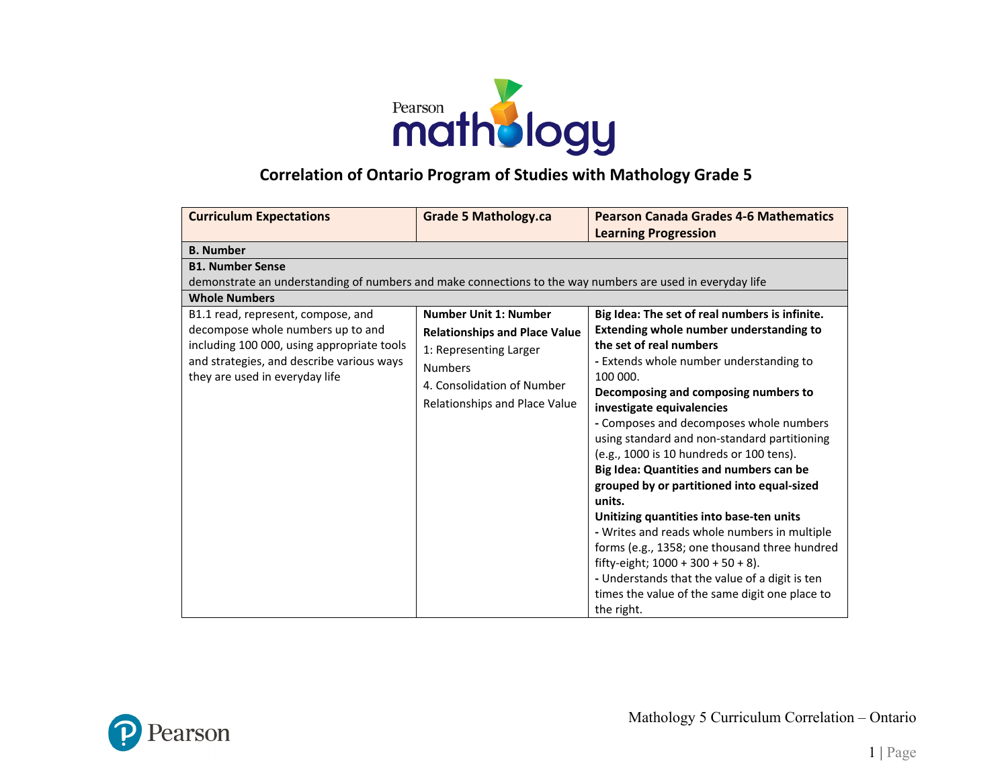

## **Correlation of Ontario Program of Studies with Mathology Grade 5**

| <b>Curriculum Expectations</b>                                                                                                                                                                                                                                                                                                                                       | <b>Grade 5 Mathology.ca</b>                                                                                                                                                     | <b>Pearson Canada Grades 4-6 Mathematics</b>                                                                                                                                                                                                                                                                                                                                                            |
|----------------------------------------------------------------------------------------------------------------------------------------------------------------------------------------------------------------------------------------------------------------------------------------------------------------------------------------------------------------------|---------------------------------------------------------------------------------------------------------------------------------------------------------------------------------|---------------------------------------------------------------------------------------------------------------------------------------------------------------------------------------------------------------------------------------------------------------------------------------------------------------------------------------------------------------------------------------------------------|
|                                                                                                                                                                                                                                                                                                                                                                      |                                                                                                                                                                                 | <b>Learning Progression</b>                                                                                                                                                                                                                                                                                                                                                                             |
| <b>B.</b> Number                                                                                                                                                                                                                                                                                                                                                     |                                                                                                                                                                                 |                                                                                                                                                                                                                                                                                                                                                                                                         |
| <b>B1. Number Sense</b><br>demonstrate an understanding of numbers and make connections to the way numbers are used in everyday life<br><b>Whole Numbers</b><br>B1.1 read, represent, compose, and<br>decompose whole numbers up to and<br>including 100 000, using appropriate tools<br>and strategies, and describe various ways<br>they are used in everyday life | <b>Number Unit 1: Number</b><br><b>Relationships and Place Value</b><br>1: Representing Larger<br><b>Numbers</b><br>4. Consolidation of Number<br>Relationships and Place Value | Big Idea: The set of real numbers is infinite.<br><b>Extending whole number understanding to</b><br>the set of real numbers<br>- Extends whole number understanding to<br>100 000.<br>Decomposing and composing numbers to<br>investigate equivalencies<br>- Composes and decomposes whole numbers<br>using standard and non-standard partitioning<br>(e.g., 1000 is 10 hundreds or 100 tens).          |
|                                                                                                                                                                                                                                                                                                                                                                      |                                                                                                                                                                                 | Big Idea: Quantities and numbers can be<br>grouped by or partitioned into equal-sized<br>units.<br>Unitizing quantities into base-ten units<br>- Writes and reads whole numbers in multiple<br>forms (e.g., 1358; one thousand three hundred<br>fifty-eight; $1000 + 300 + 50 + 8$ ).<br>- Understands that the value of a digit is ten<br>times the value of the same digit one place to<br>the right. |

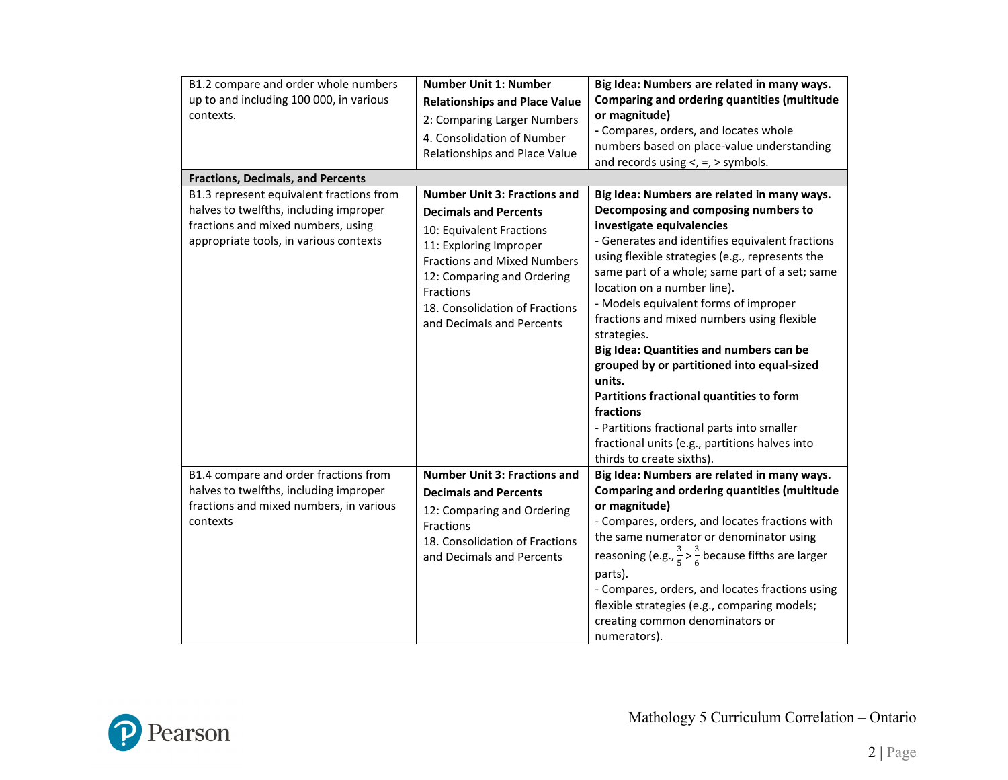| B1.2 compare and order whole numbers                                                                                                                               | <b>Number Unit 1: Number</b>                                                                                                                                                                                                                                              | Big Idea: Numbers are related in many ways.                                                                                                                                                                                                                                                                                                                                                                                                                                                                                                                                                                                                                                                            |
|--------------------------------------------------------------------------------------------------------------------------------------------------------------------|---------------------------------------------------------------------------------------------------------------------------------------------------------------------------------------------------------------------------------------------------------------------------|--------------------------------------------------------------------------------------------------------------------------------------------------------------------------------------------------------------------------------------------------------------------------------------------------------------------------------------------------------------------------------------------------------------------------------------------------------------------------------------------------------------------------------------------------------------------------------------------------------------------------------------------------------------------------------------------------------|
| up to and including 100 000, in various                                                                                                                            | <b>Relationships and Place Value</b>                                                                                                                                                                                                                                      | Comparing and ordering quantities (multitude                                                                                                                                                                                                                                                                                                                                                                                                                                                                                                                                                                                                                                                           |
| contexts.                                                                                                                                                          | 2: Comparing Larger Numbers<br>4. Consolidation of Number<br>Relationships and Place Value                                                                                                                                                                                | or magnitude)<br>- Compares, orders, and locates whole<br>numbers based on place-value understanding<br>and records using $\lt$ , $=$ , $>$ symbols.                                                                                                                                                                                                                                                                                                                                                                                                                                                                                                                                                   |
| <b>Fractions, Decimals, and Percents</b>                                                                                                                           |                                                                                                                                                                                                                                                                           |                                                                                                                                                                                                                                                                                                                                                                                                                                                                                                                                                                                                                                                                                                        |
| B1.3 represent equivalent fractions from<br>halves to twelfths, including improper<br>fractions and mixed numbers, using<br>appropriate tools, in various contexts | <b>Number Unit 3: Fractions and</b><br><b>Decimals and Percents</b><br>10: Equivalent Fractions<br>11: Exploring Improper<br><b>Fractions and Mixed Numbers</b><br>12: Comparing and Ordering<br>Fractions<br>18. Consolidation of Fractions<br>and Decimals and Percents | Big Idea: Numbers are related in many ways.<br>Decomposing and composing numbers to<br>investigate equivalencies<br>- Generates and identifies equivalent fractions<br>using flexible strategies (e.g., represents the<br>same part of a whole; same part of a set; same<br>location on a number line).<br>- Models equivalent forms of improper<br>fractions and mixed numbers using flexible<br>strategies.<br>Big Idea: Quantities and numbers can be<br>grouped by or partitioned into equal-sized<br>units.<br>Partitions fractional quantities to form<br>fractions<br>- Partitions fractional parts into smaller<br>fractional units (e.g., partitions halves into<br>thirds to create sixths). |
| B1.4 compare and order fractions from<br>halves to twelfths, including improper<br>fractions and mixed numbers, in various<br>contexts                             | <b>Number Unit 3: Fractions and</b><br><b>Decimals and Percents</b><br>12: Comparing and Ordering<br>Fractions<br>18. Consolidation of Fractions<br>and Decimals and Percents                                                                                             | Big Idea: Numbers are related in many ways.<br><b>Comparing and ordering quantities (multitude</b><br>or magnitude)<br>- Compares, orders, and locates fractions with<br>the same numerator or denominator using<br>reasoning (e.g., $\frac{3}{5} > \frac{3}{6}$ because fifths are larger<br>parts).<br>- Compares, orders, and locates fractions using<br>flexible strategies (e.g., comparing models;<br>creating common denominators or<br>numerators).                                                                                                                                                                                                                                            |

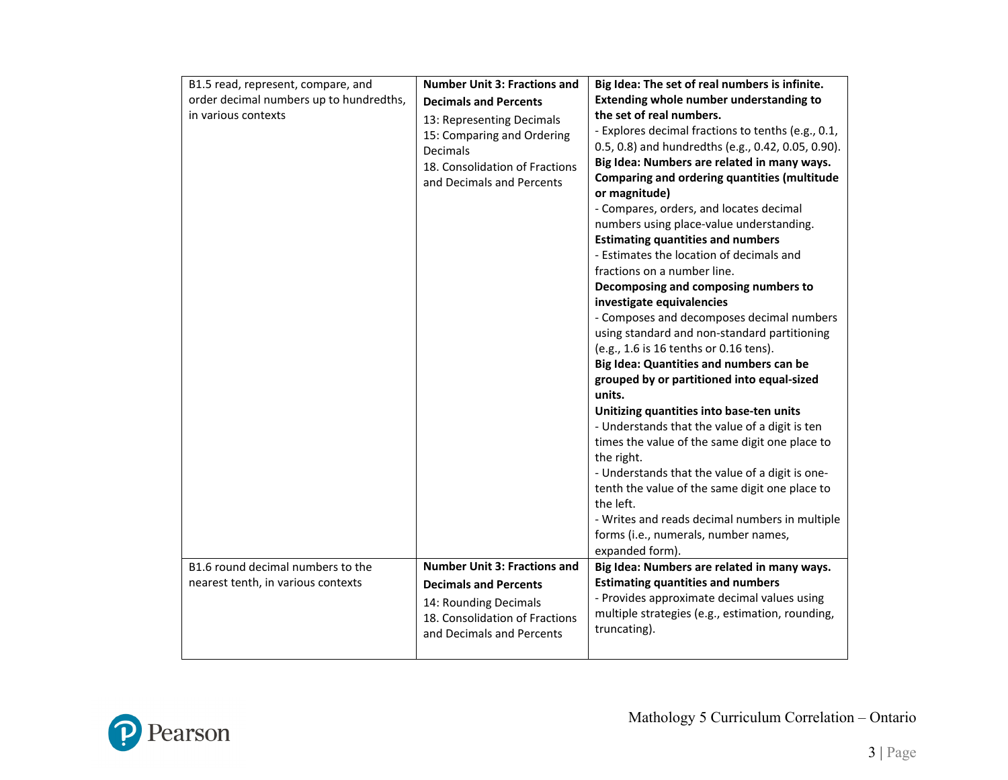| B1.5 read, represent, compare, and<br>order decimal numbers up to hundredths,<br>in various contexts | <b>Number Unit 3: Fractions and</b><br><b>Decimals and Percents</b><br>13: Representing Decimals<br>15: Comparing and Ordering<br>Decimals<br>18. Consolidation of Fractions<br>and Decimals and Percents | Big Idea: The set of real numbers is infinite.<br><b>Extending whole number understanding to</b><br>the set of real numbers.<br>- Explores decimal fractions to tenths (e.g., 0.1,<br>0.5, 0.8) and hundredths (e.g., 0.42, 0.05, 0.90).<br>Big Idea: Numbers are related in many ways.<br>Comparing and ordering quantities (multitude<br>or magnitude)<br>- Compares, orders, and locates decimal<br>numbers using place-value understanding.<br><b>Estimating quantities and numbers</b><br>- Estimates the location of decimals and<br>fractions on a number line.<br>Decomposing and composing numbers to<br>investigate equivalencies<br>- Composes and decomposes decimal numbers<br>using standard and non-standard partitioning<br>(e.g., 1.6 is 16 tenths or 0.16 tens).<br>Big Idea: Quantities and numbers can be<br>grouped by or partitioned into equal-sized<br>units.<br>Unitizing quantities into base-ten units<br>- Understands that the value of a digit is ten<br>times the value of the same digit one place to<br>the right.<br>- Understands that the value of a digit is one-<br>tenth the value of the same digit one place to<br>the left.<br>- Writes and reads decimal numbers in multiple<br>forms (i.e., numerals, number names,<br>expanded form). |
|------------------------------------------------------------------------------------------------------|-----------------------------------------------------------------------------------------------------------------------------------------------------------------------------------------------------------|------------------------------------------------------------------------------------------------------------------------------------------------------------------------------------------------------------------------------------------------------------------------------------------------------------------------------------------------------------------------------------------------------------------------------------------------------------------------------------------------------------------------------------------------------------------------------------------------------------------------------------------------------------------------------------------------------------------------------------------------------------------------------------------------------------------------------------------------------------------------------------------------------------------------------------------------------------------------------------------------------------------------------------------------------------------------------------------------------------------------------------------------------------------------------------------------------------------------------------------------------------------------------------|
| B1.6 round decimal numbers to the<br>nearest tenth, in various contexts                              | <b>Number Unit 3: Fractions and</b><br><b>Decimals and Percents</b><br>14: Rounding Decimals<br>18. Consolidation of Fractions<br>and Decimals and Percents                                               | Big Idea: Numbers are related in many ways.<br><b>Estimating quantities and numbers</b><br>- Provides approximate decimal values using<br>multiple strategies (e.g., estimation, rounding,<br>truncating).                                                                                                                                                                                                                                                                                                                                                                                                                                                                                                                                                                                                                                                                                                                                                                                                                                                                                                                                                                                                                                                                         |

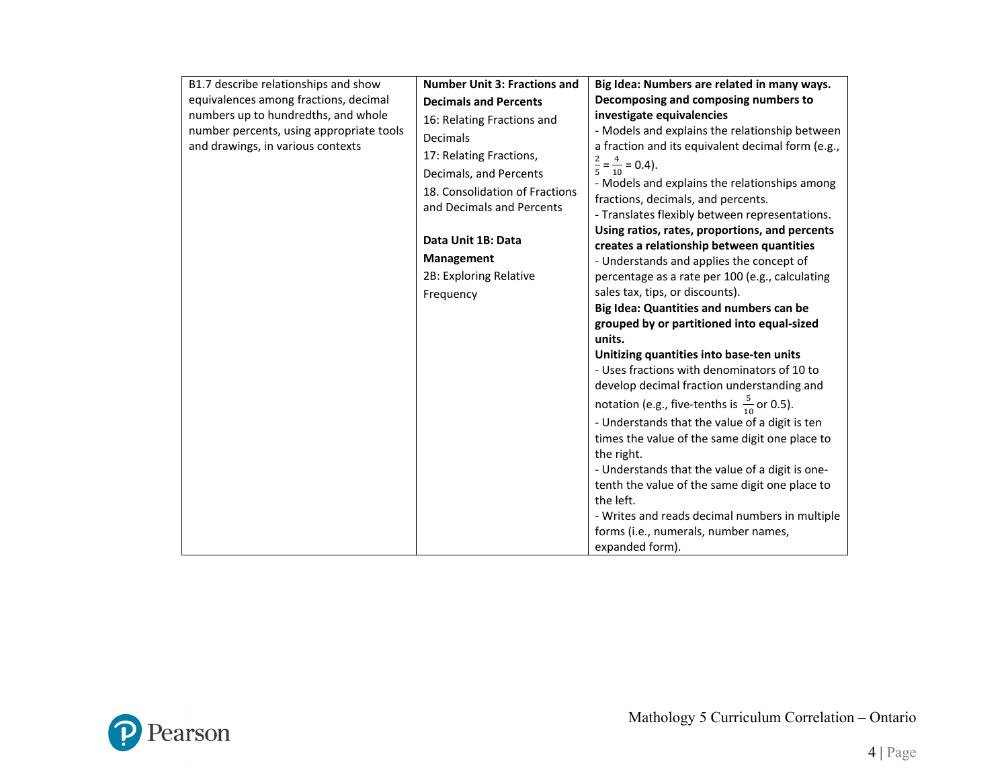| B1.7 describe relationships and show     | <b>Number Unit 3: Fractions and</b> | Big Idea: Numbers are related in many ways.                                                 |
|------------------------------------------|-------------------------------------|---------------------------------------------------------------------------------------------|
| equivalences among fractions, decimal    | <b>Decimals and Percents</b>        | Decomposing and composing numbers to                                                        |
| numbers up to hundredths, and whole      | 16: Relating Fractions and          | investigate equivalencies                                                                   |
| number percents, using appropriate tools | Decimals                            | - Models and explains the relationship between                                              |
| and drawings, in various contexts        | 17: Relating Fractions,             | a fraction and its equivalent decimal form (e.g.,                                           |
|                                          | Decimals, and Percents              | $\frac{2}{5} = \frac{4}{10} = 0.4$ .                                                        |
|                                          | 18. Consolidation of Fractions      | - Models and explains the relationships among                                               |
|                                          | and Decimals and Percents           | fractions, decimals, and percents.                                                          |
|                                          |                                     | - Translates flexibly between representations.                                              |
|                                          | Data Unit 1B: Data                  | Using ratios, rates, proportions, and percents<br>creates a relationship between quantities |
|                                          | Management                          | - Understands and applies the concept of                                                    |
|                                          | 2B: Exploring Relative              | percentage as a rate per 100 (e.g., calculating                                             |
|                                          | Frequency                           | sales tax, tips, or discounts).                                                             |
|                                          |                                     | Big Idea: Quantities and numbers can be                                                     |
|                                          |                                     | grouped by or partitioned into equal-sized                                                  |
|                                          |                                     | units.                                                                                      |
|                                          |                                     | Unitizing quantities into base-ten units                                                    |
|                                          |                                     | - Uses fractions with denominators of 10 to                                                 |
|                                          |                                     | develop decimal fraction understanding and                                                  |
|                                          |                                     | notation (e.g., five-tenths is $\frac{5}{10}$ or 0.5).                                      |
|                                          |                                     | - Understands that the value of a digit is ten                                              |
|                                          |                                     | times the value of the same digit one place to                                              |
|                                          |                                     | the right.                                                                                  |
|                                          |                                     | - Understands that the value of a digit is one-                                             |
|                                          |                                     | tenth the value of the same digit one place to<br>the left.                                 |
|                                          |                                     | - Writes and reads decimal numbers in multiple                                              |
|                                          |                                     | forms (i.e., numerals, number names,                                                        |
|                                          |                                     | expanded form).                                                                             |

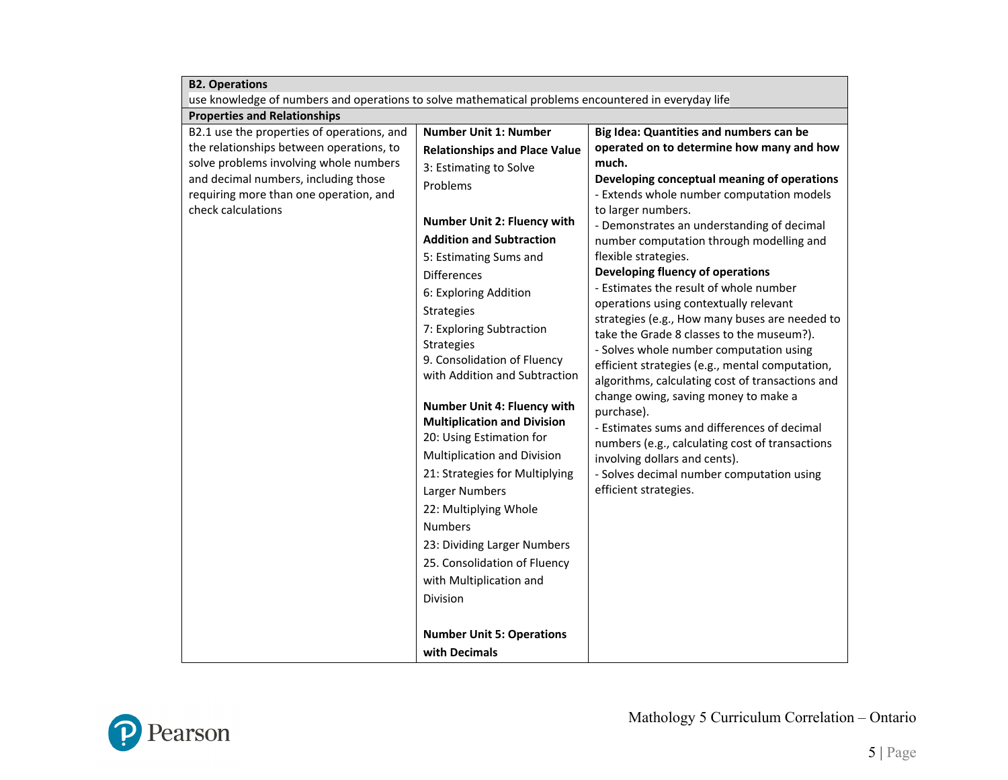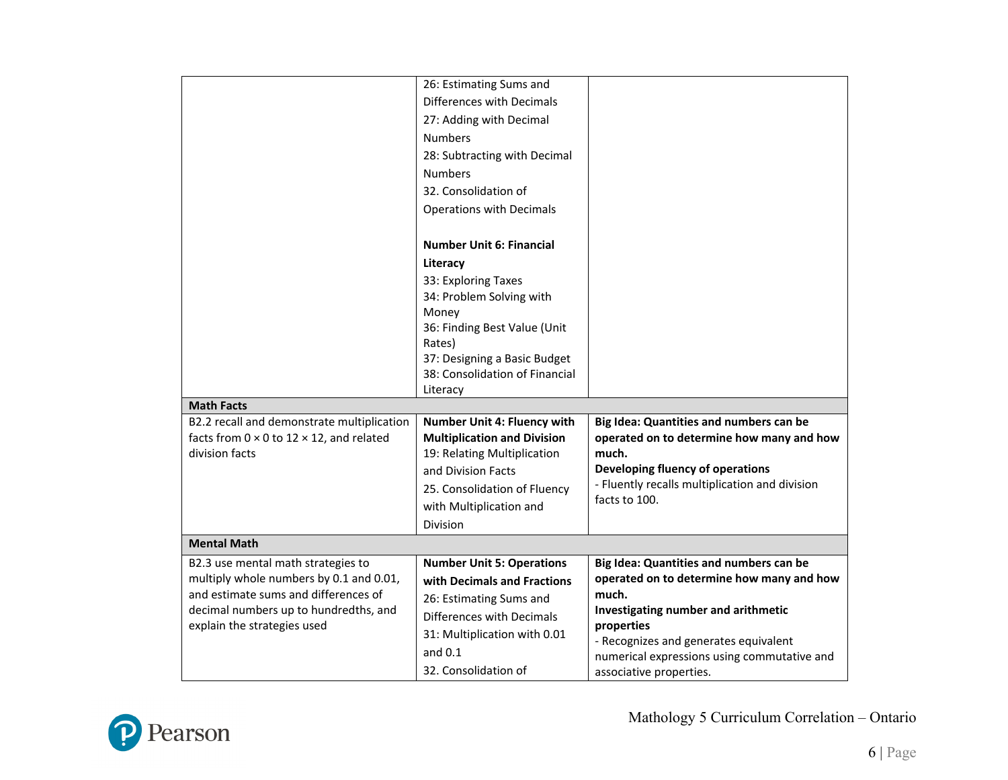|                                                                                                       | 26: Estimating Sums and                                                  |                                                                                      |
|-------------------------------------------------------------------------------------------------------|--------------------------------------------------------------------------|--------------------------------------------------------------------------------------|
|                                                                                                       | Differences with Decimals                                                |                                                                                      |
|                                                                                                       | 27: Adding with Decimal                                                  |                                                                                      |
|                                                                                                       | <b>Numbers</b>                                                           |                                                                                      |
|                                                                                                       | 28: Subtracting with Decimal                                             |                                                                                      |
|                                                                                                       | <b>Numbers</b>                                                           |                                                                                      |
|                                                                                                       | 32. Consolidation of                                                     |                                                                                      |
|                                                                                                       | <b>Operations with Decimals</b>                                          |                                                                                      |
|                                                                                                       | <b>Number Unit 6: Financial</b>                                          |                                                                                      |
|                                                                                                       | Literacy                                                                 |                                                                                      |
|                                                                                                       | 33: Exploring Taxes                                                      |                                                                                      |
|                                                                                                       | 34: Problem Solving with                                                 |                                                                                      |
|                                                                                                       | Money                                                                    |                                                                                      |
|                                                                                                       | 36: Finding Best Value (Unit                                             |                                                                                      |
|                                                                                                       | Rates)                                                                   |                                                                                      |
|                                                                                                       | 37: Designing a Basic Budget                                             |                                                                                      |
|                                                                                                       | 38: Consolidation of Financial                                           |                                                                                      |
|                                                                                                       | Literacy                                                                 |                                                                                      |
| <b>Math Facts</b>                                                                                     |                                                                          |                                                                                      |
| B2.2 recall and demonstrate multiplication<br>facts from $0 \times 0$ to $12 \times 12$ , and related | <b>Number Unit 4: Fluency with</b><br><b>Multiplication and Division</b> | Big Idea: Quantities and numbers can be<br>operated on to determine how many and how |
| division facts                                                                                        | 19: Relating Multiplication                                              | much.                                                                                |
|                                                                                                       | and Division Facts                                                       | Developing fluency of operations                                                     |
|                                                                                                       | 25. Consolidation of Fluency                                             | - Fluently recalls multiplication and division                                       |
|                                                                                                       | with Multiplication and                                                  | facts to 100.                                                                        |
|                                                                                                       | Division                                                                 |                                                                                      |
| <b>Mental Math</b>                                                                                    |                                                                          |                                                                                      |
| B2.3 use mental math strategies to                                                                    | <b>Number Unit 5: Operations</b>                                         | Big Idea: Quantities and numbers can be                                              |
| multiply whole numbers by 0.1 and 0.01,                                                               | with Decimals and Fractions                                              | operated on to determine how many and how                                            |
| and estimate sums and differences of                                                                  | 26: Estimating Sums and                                                  | much.                                                                                |
| decimal numbers up to hundredths, and                                                                 | Differences with Decimals                                                | Investigating number and arithmetic                                                  |
| explain the strategies used                                                                           | 31: Multiplication with 0.01                                             | properties                                                                           |
|                                                                                                       | and $0.1$                                                                | - Recognizes and generates equivalent                                                |
|                                                                                                       | 32. Consolidation of                                                     | numerical expressions using commutative and                                          |
|                                                                                                       |                                                                          | associative properties.                                                              |

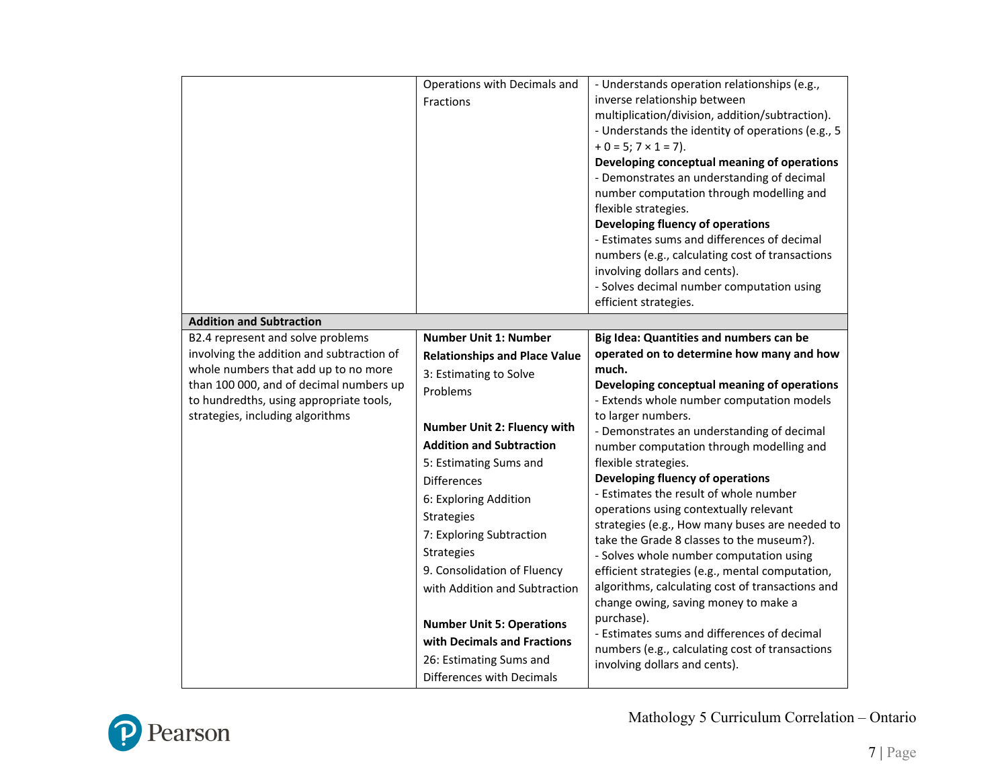|                                                                                                                                                                                                                                                  | Operations with Decimals and<br>Fractions                                                                                                                                                                                                                                                                                                                                                                                                                                                                       | - Understands operation relationships (e.g.,<br>inverse relationship between<br>multiplication/division, addition/subtraction).<br>- Understands the identity of operations (e.g., 5<br>$+ 0 = 5; 7 \times 1 = 7$ ).<br>Developing conceptual meaning of operations<br>- Demonstrates an understanding of decimal<br>number computation through modelling and<br>flexible strategies.<br>Developing fluency of operations<br>- Estimates sums and differences of decimal<br>numbers (e.g., calculating cost of transactions<br>involving dollars and cents).<br>- Solves decimal number computation using<br>efficient strategies.                                                                                                                                                                                                                                                                  |
|--------------------------------------------------------------------------------------------------------------------------------------------------------------------------------------------------------------------------------------------------|-----------------------------------------------------------------------------------------------------------------------------------------------------------------------------------------------------------------------------------------------------------------------------------------------------------------------------------------------------------------------------------------------------------------------------------------------------------------------------------------------------------------|-----------------------------------------------------------------------------------------------------------------------------------------------------------------------------------------------------------------------------------------------------------------------------------------------------------------------------------------------------------------------------------------------------------------------------------------------------------------------------------------------------------------------------------------------------------------------------------------------------------------------------------------------------------------------------------------------------------------------------------------------------------------------------------------------------------------------------------------------------------------------------------------------------|
| <b>Addition and Subtraction</b>                                                                                                                                                                                                                  |                                                                                                                                                                                                                                                                                                                                                                                                                                                                                                                 |                                                                                                                                                                                                                                                                                                                                                                                                                                                                                                                                                                                                                                                                                                                                                                                                                                                                                                     |
| B2.4 represent and solve problems<br>involving the addition and subtraction of<br>whole numbers that add up to no more<br>than 100 000, and of decimal numbers up<br>to hundredths, using appropriate tools,<br>strategies, including algorithms | <b>Number Unit 1: Number</b><br><b>Relationships and Place Value</b><br>3: Estimating to Solve<br>Problems<br>Number Unit 2: Fluency with<br><b>Addition and Subtraction</b><br>5: Estimating Sums and<br><b>Differences</b><br>6: Exploring Addition<br><b>Strategies</b><br>7: Exploring Subtraction<br>Strategies<br>9. Consolidation of Fluency<br>with Addition and Subtraction<br><b>Number Unit 5: Operations</b><br>with Decimals and Fractions<br>26: Estimating Sums and<br>Differences with Decimals | Big Idea: Quantities and numbers can be<br>operated on to determine how many and how<br>much.<br>Developing conceptual meaning of operations<br>- Extends whole number computation models<br>to larger numbers.<br>- Demonstrates an understanding of decimal<br>number computation through modelling and<br>flexible strategies.<br>Developing fluency of operations<br>- Estimates the result of whole number<br>operations using contextually relevant<br>strategies (e.g., How many buses are needed to<br>take the Grade 8 classes to the museum?).<br>- Solves whole number computation using<br>efficient strategies (e.g., mental computation,<br>algorithms, calculating cost of transactions and<br>change owing, saving money to make a<br>purchase).<br>- Estimates sums and differences of decimal<br>numbers (e.g., calculating cost of transactions<br>involving dollars and cents). |

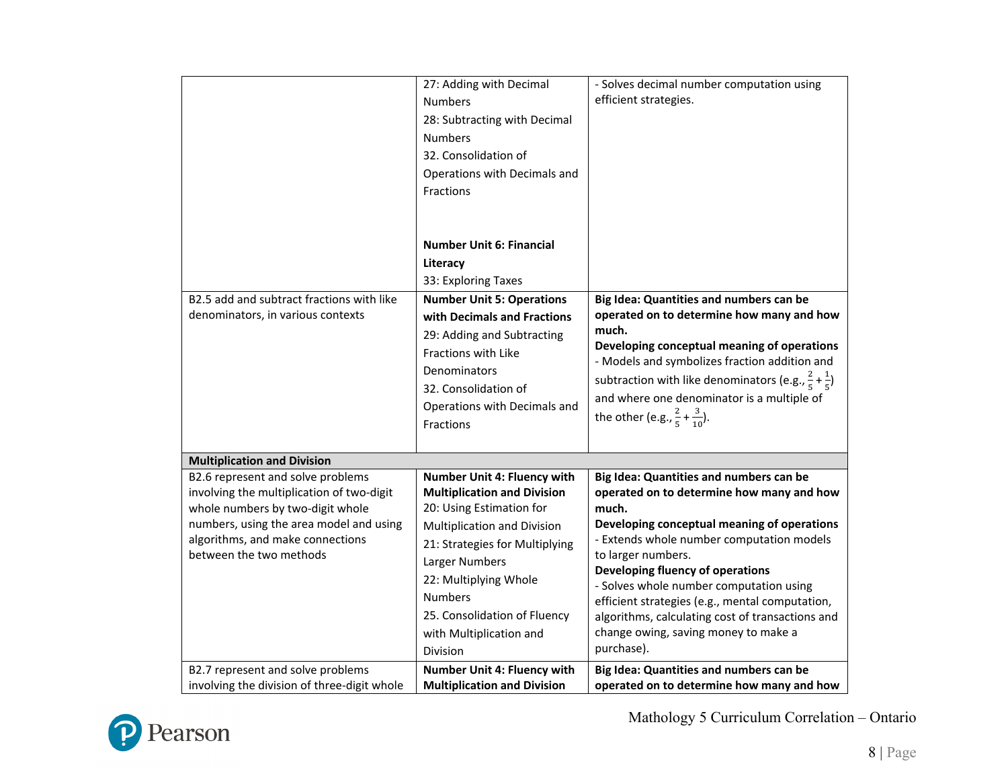|                                                                                                                                                                                                                              | 27: Adding with Decimal<br><b>Numbers</b><br>28: Subtracting with Decimal<br><b>Numbers</b><br>32. Consolidation of<br>Operations with Decimals and<br>Fractions                                                                                                                                   | - Solves decimal number computation using<br>efficient strategies.                                                                                                                                                                                                                                                                                                                                                                                          |
|------------------------------------------------------------------------------------------------------------------------------------------------------------------------------------------------------------------------------|----------------------------------------------------------------------------------------------------------------------------------------------------------------------------------------------------------------------------------------------------------------------------------------------------|-------------------------------------------------------------------------------------------------------------------------------------------------------------------------------------------------------------------------------------------------------------------------------------------------------------------------------------------------------------------------------------------------------------------------------------------------------------|
|                                                                                                                                                                                                                              | <b>Number Unit 6: Financial</b><br>Literacy<br>33: Exploring Taxes                                                                                                                                                                                                                                 |                                                                                                                                                                                                                                                                                                                                                                                                                                                             |
| B2.5 add and subtract fractions with like<br>denominators, in various contexts                                                                                                                                               | <b>Number Unit 5: Operations</b><br>with Decimals and Fractions<br>29: Adding and Subtracting<br><b>Fractions with Like</b><br>Denominators<br>32. Consolidation of<br>Operations with Decimals and<br>Fractions                                                                                   | Big Idea: Quantities and numbers can be<br>operated on to determine how many and how<br>much.<br>Developing conceptual meaning of operations<br>- Models and symbolizes fraction addition and<br>subtraction with like denominators (e.g., $\frac{2}{5} + \frac{1}{5}$ )<br>and where one denominator is a multiple of<br>the other (e.g., $\frac{2}{5} + \frac{3}{10}$ ).                                                                                  |
| <b>Multiplication and Division</b>                                                                                                                                                                                           |                                                                                                                                                                                                                                                                                                    |                                                                                                                                                                                                                                                                                                                                                                                                                                                             |
| B2.6 represent and solve problems<br>involving the multiplication of two-digit<br>whole numbers by two-digit whole<br>numbers, using the area model and using<br>algorithms, and make connections<br>between the two methods | Number Unit 4: Fluency with<br><b>Multiplication and Division</b><br>20: Using Estimation for<br>Multiplication and Division<br>21: Strategies for Multiplying<br>Larger Numbers<br>22: Multiplying Whole<br><b>Numbers</b><br>25. Consolidation of Fluency<br>with Multiplication and<br>Division | Big Idea: Quantities and numbers can be<br>operated on to determine how many and how<br>much.<br>Developing conceptual meaning of operations<br>- Extends whole number computation models<br>to larger numbers.<br>Developing fluency of operations<br>- Solves whole number computation using<br>efficient strategies (e.g., mental computation,<br>algorithms, calculating cost of transactions and<br>change owing, saving money to make a<br>purchase). |
| B2.7 represent and solve problems<br>involving the division of three-digit whole                                                                                                                                             | Number Unit 4: Fluency with<br><b>Multiplication and Division</b>                                                                                                                                                                                                                                  | Big Idea: Quantities and numbers can be<br>operated on to determine how many and how                                                                                                                                                                                                                                                                                                                                                                        |

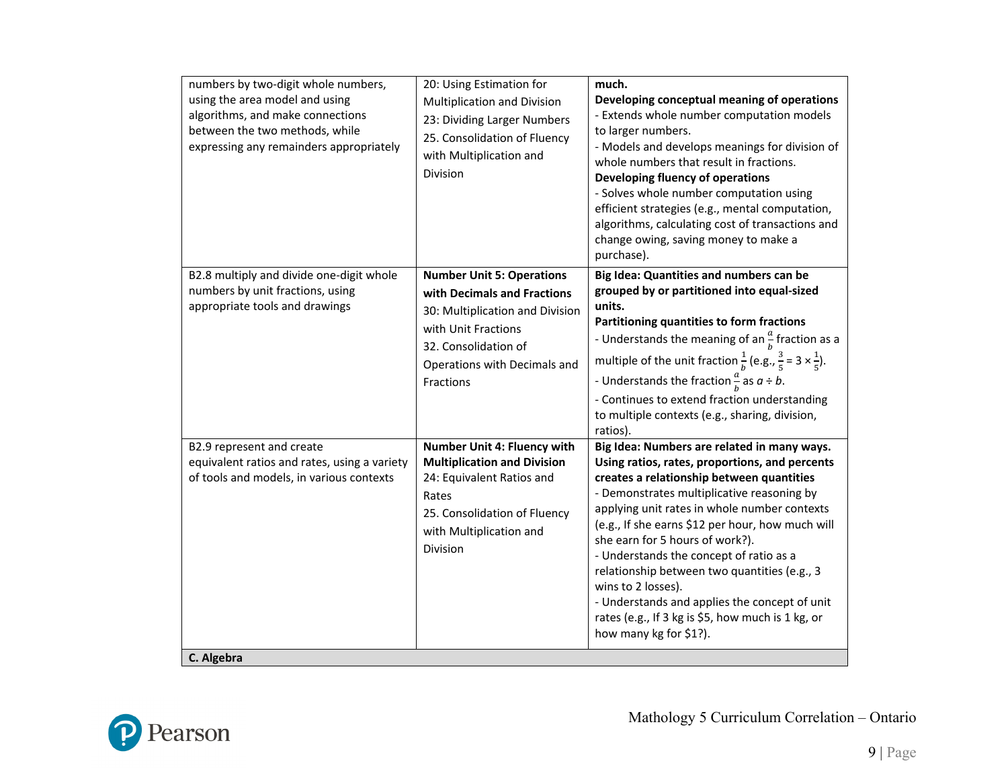| numbers by two-digit whole numbers,<br>using the area model and using<br>algorithms, and make connections<br>between the two methods, while<br>expressing any remainders appropriately | 20: Using Estimation for<br>Multiplication and Division<br>23: Dividing Larger Numbers<br>25. Consolidation of Fluency<br>with Multiplication and<br>Division                                  | much.<br>Developing conceptual meaning of operations<br>- Extends whole number computation models<br>to larger numbers.<br>- Models and develops meanings for division of<br>whole numbers that result in fractions.<br>Developing fluency of operations<br>- Solves whole number computation using<br>efficient strategies (e.g., mental computation,<br>algorithms, calculating cost of transactions and<br>change owing, saving money to make a<br>purchase).                                                                                                                 |
|----------------------------------------------------------------------------------------------------------------------------------------------------------------------------------------|------------------------------------------------------------------------------------------------------------------------------------------------------------------------------------------------|----------------------------------------------------------------------------------------------------------------------------------------------------------------------------------------------------------------------------------------------------------------------------------------------------------------------------------------------------------------------------------------------------------------------------------------------------------------------------------------------------------------------------------------------------------------------------------|
| B2.8 multiply and divide one-digit whole<br>numbers by unit fractions, using<br>appropriate tools and drawings                                                                         | <b>Number Unit 5: Operations</b><br>with Decimals and Fractions<br>30: Multiplication and Division<br>with Unit Fractions<br>32. Consolidation of<br>Operations with Decimals and<br>Fractions | Big Idea: Quantities and numbers can be<br>grouped by or partitioned into equal-sized<br>units.<br>Partitioning quantities to form fractions<br>- Understands the meaning of an $\frac{a}{b}$ fraction as a<br>multiple of the unit fraction $\frac{1}{b}$ (e.g., $\frac{3}{5}$ = 3 $\times \frac{1}{5}$ ).<br>- Understands the fraction $\frac{a}{b}$ as $a \div b$ .<br>- Continues to extend fraction understanding<br>to multiple contexts (e.g., sharing, division,<br>ratios).                                                                                            |
| B2.9 represent and create<br>equivalent ratios and rates, using a variety<br>of tools and models, in various contexts<br>C. Algebra                                                    | Number Unit 4: Fluency with<br><b>Multiplication and Division</b><br>24: Equivalent Ratios and<br>Rates<br>25. Consolidation of Fluency<br>with Multiplication and<br>Division                 | Big Idea: Numbers are related in many ways.<br>Using ratios, rates, proportions, and percents<br>creates a relationship between quantities<br>- Demonstrates multiplicative reasoning by<br>applying unit rates in whole number contexts<br>(e.g., If she earns \$12 per hour, how much will<br>she earn for 5 hours of work?).<br>- Understands the concept of ratio as a<br>relationship between two quantities (e.g., 3<br>wins to 2 losses).<br>- Understands and applies the concept of unit<br>rates (e.g., If 3 kg is \$5, how much is 1 kg, or<br>how many kg for \$1?). |

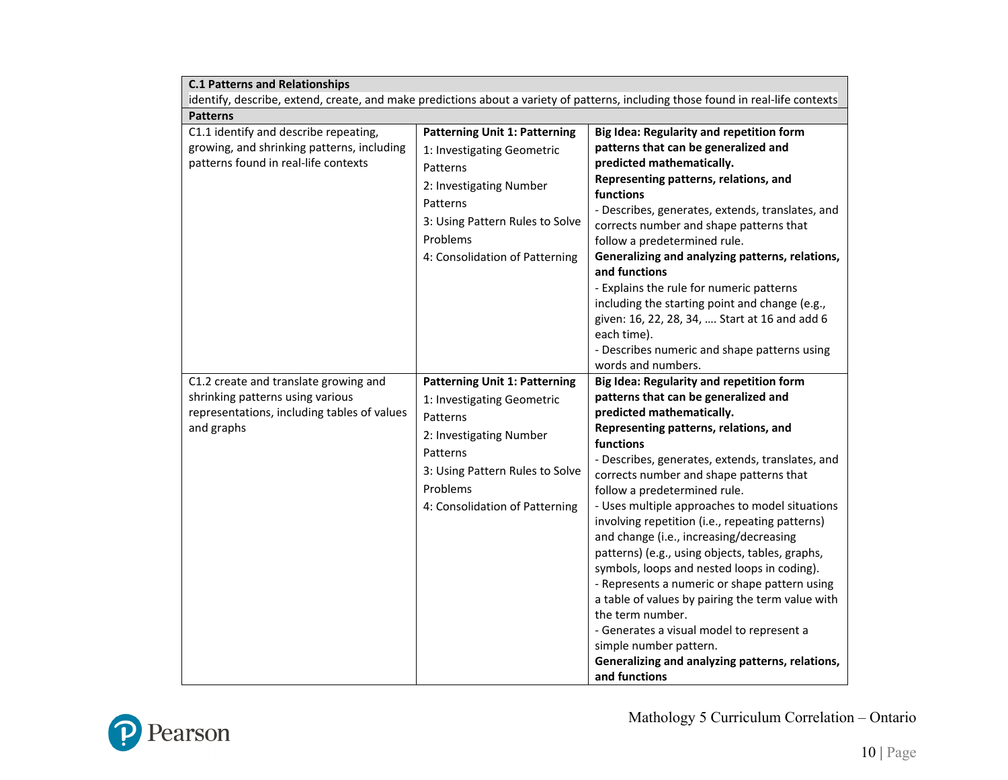| <b>C.1 Patterns and Relationships</b>                                                                                                  |                                                                                                                                                                                                        |                                                                                                                                                                                                                                                                                                                                                                                                                                                                                                                                                                                                                                                                                                                                                                                                                                 |
|----------------------------------------------------------------------------------------------------------------------------------------|--------------------------------------------------------------------------------------------------------------------------------------------------------------------------------------------------------|---------------------------------------------------------------------------------------------------------------------------------------------------------------------------------------------------------------------------------------------------------------------------------------------------------------------------------------------------------------------------------------------------------------------------------------------------------------------------------------------------------------------------------------------------------------------------------------------------------------------------------------------------------------------------------------------------------------------------------------------------------------------------------------------------------------------------------|
| identify, describe, extend, create, and make predictions about a variety of patterns, including those found in real-life contexts      |                                                                                                                                                                                                        |                                                                                                                                                                                                                                                                                                                                                                                                                                                                                                                                                                                                                                                                                                                                                                                                                                 |
| <b>Patterns</b>                                                                                                                        |                                                                                                                                                                                                        |                                                                                                                                                                                                                                                                                                                                                                                                                                                                                                                                                                                                                                                                                                                                                                                                                                 |
| C1.1 identify and describe repeating,<br>growing, and shrinking patterns, including<br>patterns found in real-life contexts            | <b>Patterning Unit 1: Patterning</b><br>1: Investigating Geometric<br>Patterns<br>2: Investigating Number<br>Patterns<br>3: Using Pattern Rules to Solve<br>Problems<br>4: Consolidation of Patterning | <b>Big Idea: Regularity and repetition form</b><br>patterns that can be generalized and<br>predicted mathematically.<br>Representing patterns, relations, and<br>functions<br>- Describes, generates, extends, translates, and<br>corrects number and shape patterns that<br>follow a predetermined rule.<br>Generalizing and analyzing patterns, relations,<br>and functions<br>- Explains the rule for numeric patterns<br>including the starting point and change (e.g.,<br>given: 16, 22, 28, 34,  Start at 16 and add 6<br>each time).<br>- Describes numeric and shape patterns using<br>words and numbers.                                                                                                                                                                                                               |
| C1.2 create and translate growing and<br>shrinking patterns using various<br>representations, including tables of values<br>and graphs | <b>Patterning Unit 1: Patterning</b><br>1: Investigating Geometric<br>Patterns<br>2: Investigating Number<br>Patterns<br>3: Using Pattern Rules to Solve<br>Problems<br>4: Consolidation of Patterning | <b>Big Idea: Regularity and repetition form</b><br>patterns that can be generalized and<br>predicted mathematically.<br>Representing patterns, relations, and<br>functions<br>- Describes, generates, extends, translates, and<br>corrects number and shape patterns that<br>follow a predetermined rule.<br>- Uses multiple approaches to model situations<br>involving repetition (i.e., repeating patterns)<br>and change (i.e., increasing/decreasing<br>patterns) (e.g., using objects, tables, graphs,<br>symbols, loops and nested loops in coding).<br>- Represents a numeric or shape pattern using<br>a table of values by pairing the term value with<br>the term number.<br>- Generates a visual model to represent a<br>simple number pattern.<br>Generalizing and analyzing patterns, relations,<br>and functions |

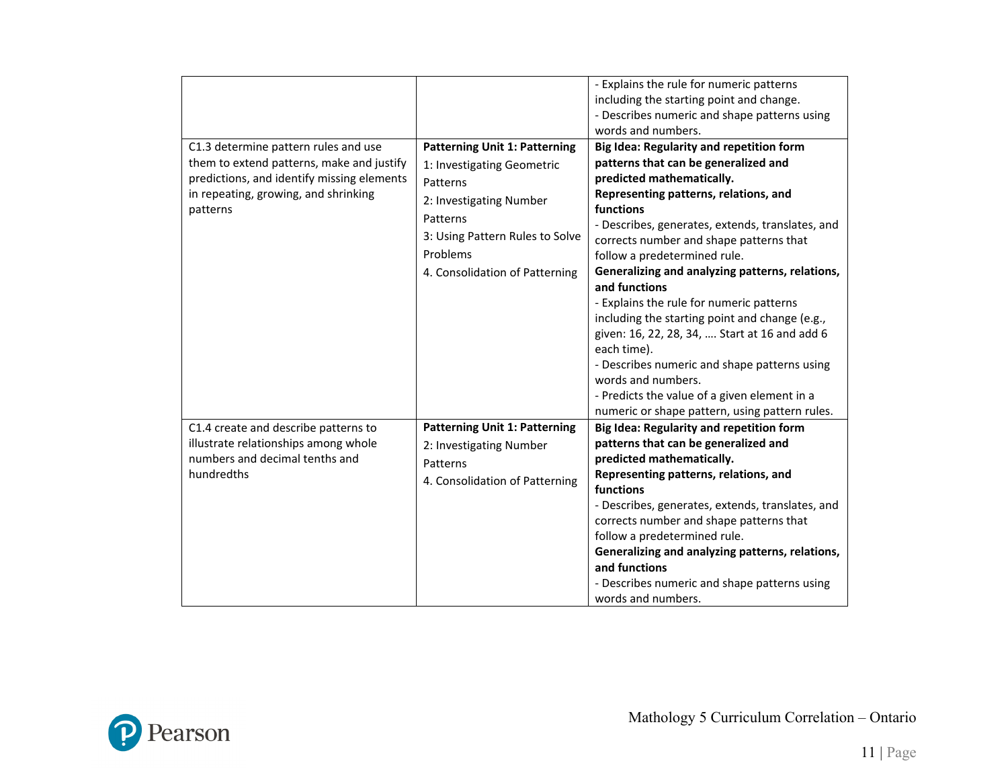|                                                                                                                                                                                     |                                                                                                                                                                                                        | - Explains the rule for numeric patterns<br>including the starting point and change.<br>- Describes numeric and shape patterns using<br>words and numbers.                                                                                                                                                                                                                                                                                                                                                                                                                                                                                                                                                   |
|-------------------------------------------------------------------------------------------------------------------------------------------------------------------------------------|--------------------------------------------------------------------------------------------------------------------------------------------------------------------------------------------------------|--------------------------------------------------------------------------------------------------------------------------------------------------------------------------------------------------------------------------------------------------------------------------------------------------------------------------------------------------------------------------------------------------------------------------------------------------------------------------------------------------------------------------------------------------------------------------------------------------------------------------------------------------------------------------------------------------------------|
| C1.3 determine pattern rules and use<br>them to extend patterns, make and justify<br>predictions, and identify missing elements<br>in repeating, growing, and shrinking<br>patterns | <b>Patterning Unit 1: Patterning</b><br>1: Investigating Geometric<br>Patterns<br>2: Investigating Number<br>Patterns<br>3: Using Pattern Rules to Solve<br>Problems<br>4. Consolidation of Patterning | Big Idea: Regularity and repetition form<br>patterns that can be generalized and<br>predicted mathematically.<br>Representing patterns, relations, and<br>functions<br>- Describes, generates, extends, translates, and<br>corrects number and shape patterns that<br>follow a predetermined rule.<br>Generalizing and analyzing patterns, relations,<br>and functions<br>- Explains the rule for numeric patterns<br>including the starting point and change (e.g.,<br>given: 16, 22, 28, 34,  Start at 16 and add 6<br>each time).<br>- Describes numeric and shape patterns using<br>words and numbers.<br>- Predicts the value of a given element in a<br>numeric or shape pattern, using pattern rules. |
| C1.4 create and describe patterns to<br>illustrate relationships among whole<br>numbers and decimal tenths and<br>hundredths                                                        | <b>Patterning Unit 1: Patterning</b><br>2: Investigating Number<br>Patterns<br>4. Consolidation of Patterning                                                                                          | Big Idea: Regularity and repetition form<br>patterns that can be generalized and<br>predicted mathematically.<br>Representing patterns, relations, and<br>functions<br>- Describes, generates, extends, translates, and<br>corrects number and shape patterns that<br>follow a predetermined rule.<br>Generalizing and analyzing patterns, relations,<br>and functions<br>- Describes numeric and shape patterns using<br>words and numbers.                                                                                                                                                                                                                                                                 |

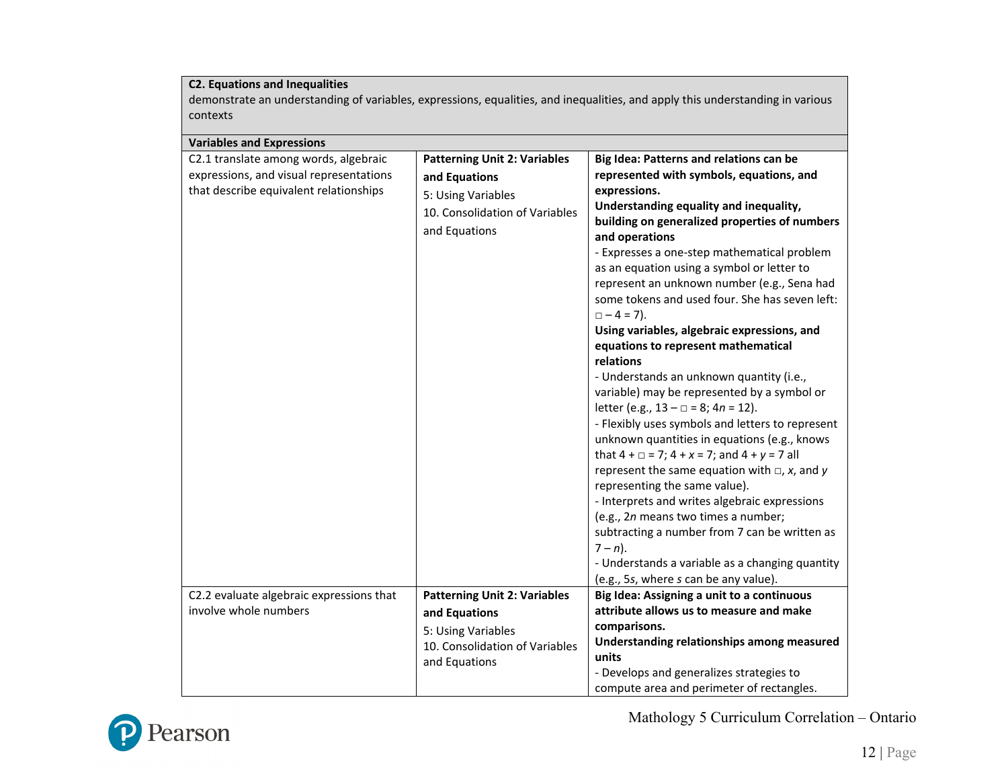## **C2. Equations and Inequalities**

demonstrate an understanding of variables, expressions, equalities, and inequalities, and apply this understanding in various contexts

| <b>Variables and Expressions</b>         |                                     |                                                            |
|------------------------------------------|-------------------------------------|------------------------------------------------------------|
| C2.1 translate among words, algebraic    | <b>Patterning Unit 2: Variables</b> | Big Idea: Patterns and relations can be                    |
| expressions, and visual representations  | and Equations                       | represented with symbols, equations, and                   |
| that describe equivalent relationships   | 5: Using Variables                  | expressions.                                               |
|                                          | 10. Consolidation of Variables      | Understanding equality and inequality,                     |
|                                          |                                     | building on generalized properties of numbers              |
|                                          | and Equations                       | and operations                                             |
|                                          |                                     | - Expresses a one-step mathematical problem                |
|                                          |                                     | as an equation using a symbol or letter to                 |
|                                          |                                     | represent an unknown number (e.g., Sena had                |
|                                          |                                     | some tokens and used four. She has seven left:             |
|                                          |                                     | $\Box - 4 = 7$ ).                                          |
|                                          |                                     | Using variables, algebraic expressions, and                |
|                                          |                                     | equations to represent mathematical                        |
|                                          |                                     | relations                                                  |
|                                          |                                     | - Understands an unknown quantity (i.e.,                   |
|                                          |                                     | variable) may be represented by a symbol or                |
|                                          |                                     | letter (e.g., $13 - \square = 8$ ; $4n = 12$ ).            |
|                                          |                                     | - Flexibly uses symbols and letters to represent           |
|                                          |                                     | unknown quantities in equations (e.g., knows               |
|                                          |                                     | that $4 + \square = 7$ ; $4 + x = 7$ ; and $4 + y = 7$ all |
|                                          |                                     | represent the same equation with $\Box$ , x, and y         |
|                                          |                                     | representing the same value).                              |
|                                          |                                     | - Interprets and writes algebraic expressions              |
|                                          |                                     | (e.g., 2n means two times a number;                        |
|                                          |                                     | subtracting a number from 7 can be written as              |
|                                          |                                     | $7 - n$ ).                                                 |
|                                          |                                     | - Understands a variable as a changing quantity            |
|                                          |                                     | (e.g., 5s, where s can be any value).                      |
| C2.2 evaluate algebraic expressions that | <b>Patterning Unit 2: Variables</b> | Big Idea: Assigning a unit to a continuous                 |
| involve whole numbers                    | and Equations                       | attribute allows us to measure and make                    |
|                                          | 5: Using Variables                  | comparisons.                                               |
|                                          | 10. Consolidation of Variables      | Understanding relationships among measured                 |
|                                          | and Equations                       | units                                                      |
|                                          |                                     | - Develops and generalizes strategies to                   |
|                                          |                                     | compute area and perimeter of rectangles.                  |

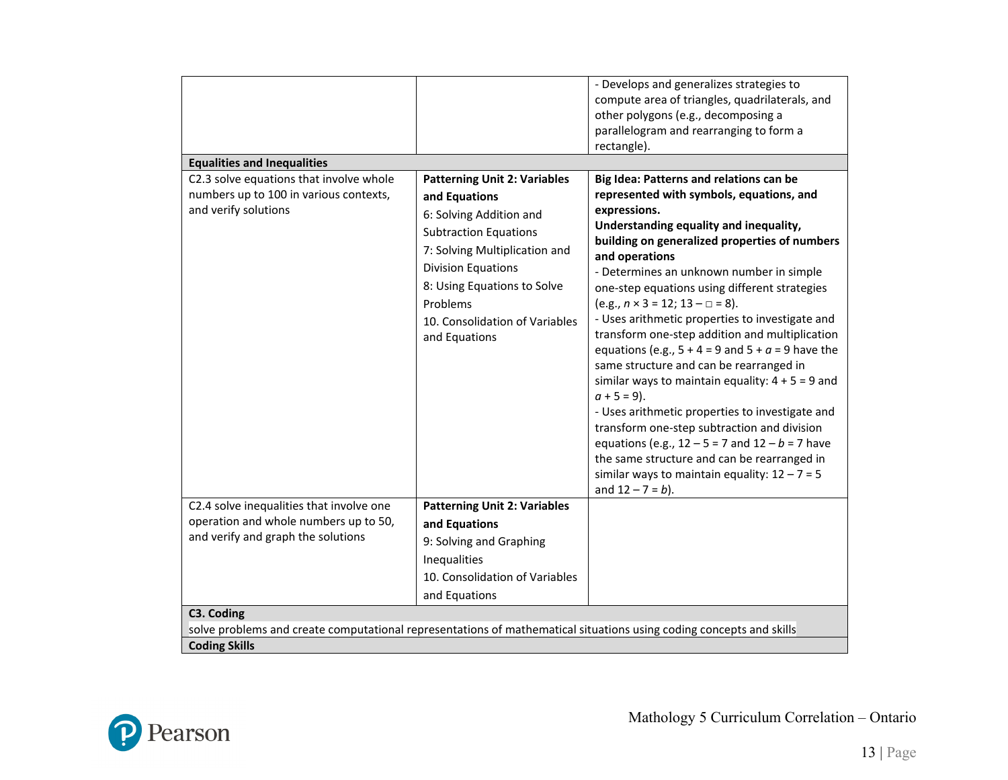|                                                                                                                     |                                     | - Develops and generalizes strategies to              |
|---------------------------------------------------------------------------------------------------------------------|-------------------------------------|-------------------------------------------------------|
|                                                                                                                     |                                     |                                                       |
|                                                                                                                     |                                     | compute area of triangles, quadrilaterals, and        |
|                                                                                                                     |                                     | other polygons (e.g., decomposing a                   |
|                                                                                                                     |                                     | parallelogram and rearranging to form a               |
|                                                                                                                     |                                     | rectangle).                                           |
| <b>Equalities and Inequalities</b>                                                                                  |                                     |                                                       |
| C2.3 solve equations that involve whole                                                                             | <b>Patterning Unit 2: Variables</b> | Big Idea: Patterns and relations can be               |
| numbers up to 100 in various contexts,                                                                              | and Equations                       | represented with symbols, equations, and              |
| and verify solutions                                                                                                | 6: Solving Addition and             | expressions.                                          |
|                                                                                                                     | <b>Subtraction Equations</b>        | Understanding equality and inequality,                |
|                                                                                                                     |                                     | building on generalized properties of numbers         |
|                                                                                                                     | 7: Solving Multiplication and       | and operations                                        |
|                                                                                                                     | <b>Division Equations</b>           | - Determines an unknown number in simple              |
|                                                                                                                     | 8: Using Equations to Solve         | one-step equations using different strategies         |
|                                                                                                                     | Problems                            | $(e.g., n \times 3 = 12; 13 - \square = 8).$          |
|                                                                                                                     | 10. Consolidation of Variables      | - Uses arithmetic properties to investigate and       |
|                                                                                                                     | and Equations                       | transform one-step addition and multiplication        |
|                                                                                                                     |                                     | equations (e.g., $5 + 4 = 9$ and $5 + a = 9$ have the |
|                                                                                                                     |                                     | same structure and can be rearranged in               |
|                                                                                                                     |                                     | similar ways to maintain equality: $4 + 5 = 9$ and    |
|                                                                                                                     |                                     | $a + 5 = 9$ ).                                        |
|                                                                                                                     |                                     | - Uses arithmetic properties to investigate and       |
|                                                                                                                     |                                     | transform one-step subtraction and division           |
|                                                                                                                     |                                     | equations (e.g., $12 - 5 = 7$ and $12 - b = 7$ have   |
|                                                                                                                     |                                     | the same structure and can be rearranged in           |
|                                                                                                                     |                                     | similar ways to maintain equality: $12 - 7 = 5$       |
|                                                                                                                     |                                     |                                                       |
|                                                                                                                     |                                     | and $12 - 7 = b$ ).                                   |
| C2.4 solve inequalities that involve one                                                                            | <b>Patterning Unit 2: Variables</b> |                                                       |
| operation and whole numbers up to 50,                                                                               | and Equations                       |                                                       |
| and verify and graph the solutions                                                                                  | 9: Solving and Graphing             |                                                       |
|                                                                                                                     | Inequalities                        |                                                       |
|                                                                                                                     | 10. Consolidation of Variables      |                                                       |
|                                                                                                                     | and Equations                       |                                                       |
|                                                                                                                     |                                     |                                                       |
| C3. Coding                                                                                                          |                                     |                                                       |
| solve problems and create computational representations of mathematical situations using coding concepts and skills |                                     |                                                       |
| <b>Coding Skills</b>                                                                                                |                                     |                                                       |

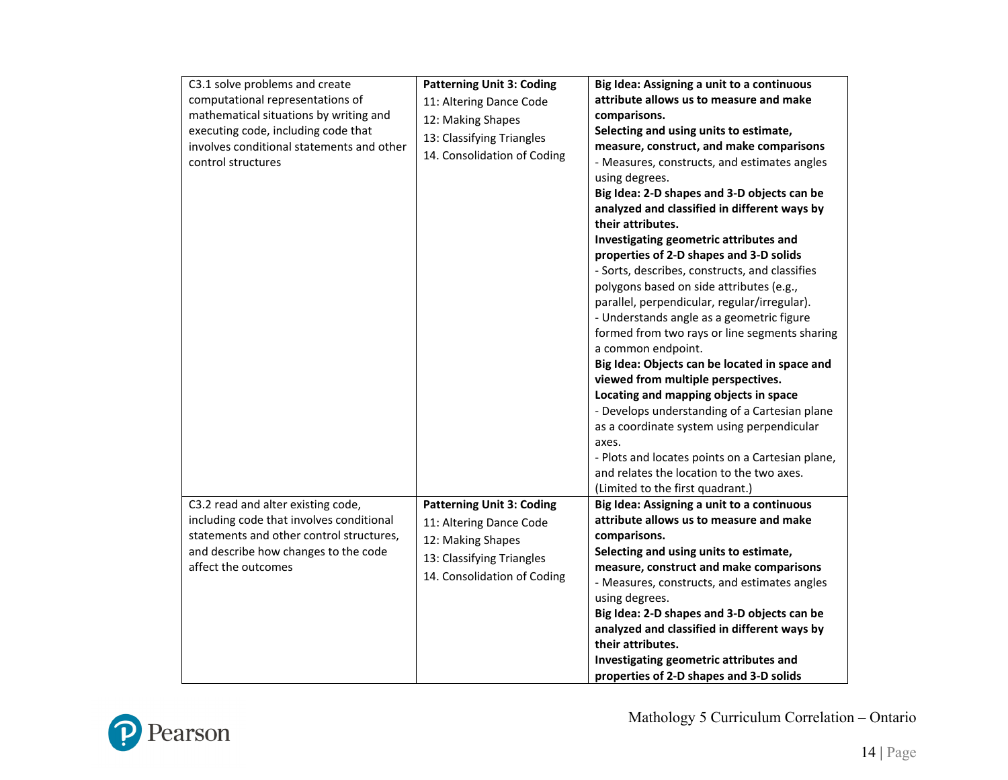| C3.1 solve problems and create            | <b>Patterning Unit 3: Coding</b> | Big Idea: Assigning a unit to a continuous       |
|-------------------------------------------|----------------------------------|--------------------------------------------------|
| computational representations of          | 11: Altering Dance Code          | attribute allows us to measure and make          |
| mathematical situations by writing and    | 12: Making Shapes                | comparisons.                                     |
| executing code, including code that       |                                  | Selecting and using units to estimate,           |
| involves conditional statements and other | 13: Classifying Triangles        | measure, construct, and make comparisons         |
| control structures                        | 14. Consolidation of Coding      | - Measures, constructs, and estimates angles     |
|                                           |                                  | using degrees.                                   |
|                                           |                                  | Big Idea: 2-D shapes and 3-D objects can be      |
|                                           |                                  | analyzed and classified in different ways by     |
|                                           |                                  | their attributes.                                |
|                                           |                                  | Investigating geometric attributes and           |
|                                           |                                  | properties of 2-D shapes and 3-D solids          |
|                                           |                                  | - Sorts, describes, constructs, and classifies   |
|                                           |                                  | polygons based on side attributes (e.g.,         |
|                                           |                                  | parallel, perpendicular, regular/irregular).     |
|                                           |                                  | - Understands angle as a geometric figure        |
|                                           |                                  | formed from two rays or line segments sharing    |
|                                           |                                  | a common endpoint.                               |
|                                           |                                  | Big Idea: Objects can be located in space and    |
|                                           |                                  | viewed from multiple perspectives.               |
|                                           |                                  | Locating and mapping objects in space            |
|                                           |                                  | - Develops understanding of a Cartesian plane    |
|                                           |                                  | as a coordinate system using perpendicular       |
|                                           |                                  | axes.                                            |
|                                           |                                  | - Plots and locates points on a Cartesian plane, |
|                                           |                                  | and relates the location to the two axes.        |
|                                           |                                  | (Limited to the first quadrant.)                 |
| C3.2 read and alter existing code,        | <b>Patterning Unit 3: Coding</b> | Big Idea: Assigning a unit to a continuous       |
| including code that involves conditional  | 11: Altering Dance Code          | attribute allows us to measure and make          |
| statements and other control structures,  | 12: Making Shapes                | comparisons.                                     |
| and describe how changes to the code      | 13: Classifying Triangles        | Selecting and using units to estimate,           |
| affect the outcomes                       | 14. Consolidation of Coding      | measure, construct and make comparisons          |
|                                           |                                  | - Measures, constructs, and estimates angles     |
|                                           |                                  | using degrees.                                   |
|                                           |                                  | Big Idea: 2-D shapes and 3-D objects can be      |
|                                           |                                  | analyzed and classified in different ways by     |
|                                           |                                  | their attributes.                                |
|                                           |                                  | Investigating geometric attributes and           |
|                                           |                                  | properties of 2-D shapes and 3-D solids          |

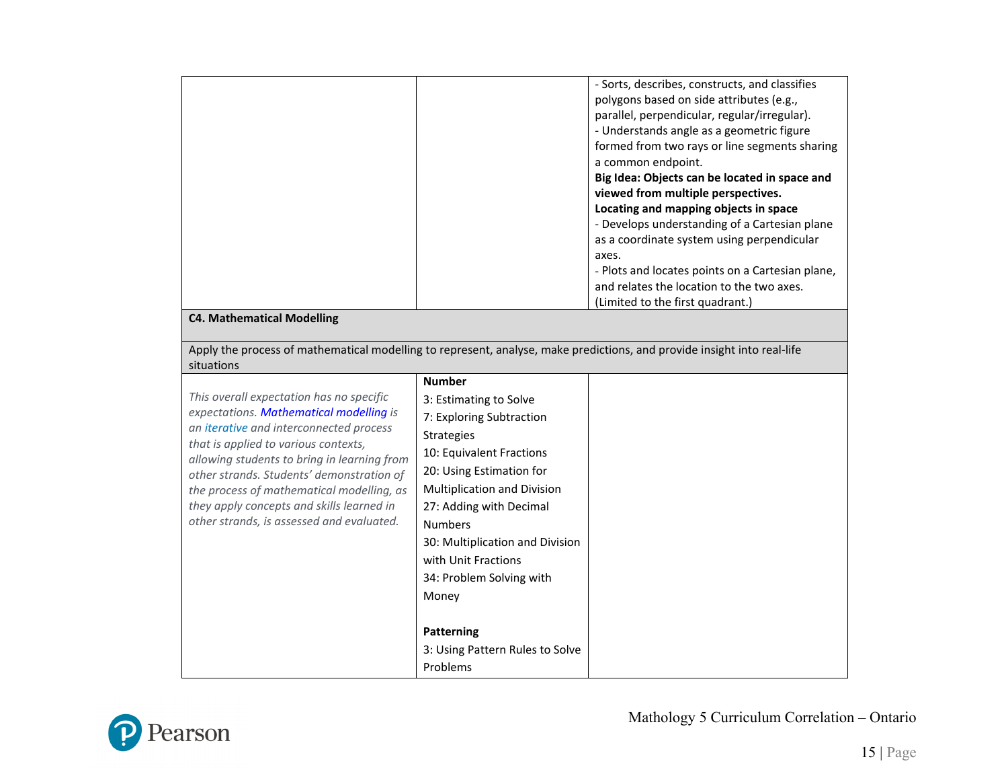|                                                                                                                                                                                                                                                                                                                                                                                                           |                                                                                                                                                                                                                                                                                                                                    | - Sorts, describes, constructs, and classifies<br>polygons based on side attributes (e.g.,<br>parallel, perpendicular, regular/irregular).<br>- Understands angle as a geometric figure<br>formed from two rays or line segments sharing<br>a common endpoint.<br>Big Idea: Objects can be located in space and<br>viewed from multiple perspectives.<br>Locating and mapping objects in space<br>- Develops understanding of a Cartesian plane<br>as a coordinate system using perpendicular<br>axes.<br>- Plots and locates points on a Cartesian plane,<br>and relates the location to the two axes.<br>(Limited to the first quadrant.) |
|-----------------------------------------------------------------------------------------------------------------------------------------------------------------------------------------------------------------------------------------------------------------------------------------------------------------------------------------------------------------------------------------------------------|------------------------------------------------------------------------------------------------------------------------------------------------------------------------------------------------------------------------------------------------------------------------------------------------------------------------------------|---------------------------------------------------------------------------------------------------------------------------------------------------------------------------------------------------------------------------------------------------------------------------------------------------------------------------------------------------------------------------------------------------------------------------------------------------------------------------------------------------------------------------------------------------------------------------------------------------------------------------------------------|
| <b>C4. Mathematical Modelling</b>                                                                                                                                                                                                                                                                                                                                                                         |                                                                                                                                                                                                                                                                                                                                    |                                                                                                                                                                                                                                                                                                                                                                                                                                                                                                                                                                                                                                             |
| Apply the process of mathematical modelling to represent, analyse, make predictions, and provide insight into real-life<br>situations                                                                                                                                                                                                                                                                     |                                                                                                                                                                                                                                                                                                                                    |                                                                                                                                                                                                                                                                                                                                                                                                                                                                                                                                                                                                                                             |
| This overall expectation has no specific<br>expectations. Mathematical modelling is<br>an iterative and interconnected process<br>that is applied to various contexts,<br>allowing students to bring in learning from<br>other strands. Students' demonstration of<br>the process of mathematical modelling, as<br>they apply concepts and skills learned in<br>other strands, is assessed and evaluated. | <b>Number</b><br>3: Estimating to Solve<br>7: Exploring Subtraction<br><b>Strategies</b><br>10: Equivalent Fractions<br>20: Using Estimation for<br><b>Multiplication and Division</b><br>27: Adding with Decimal<br><b>Numbers</b><br>30: Multiplication and Division<br>with Unit Fractions<br>34: Problem Solving with<br>Money |                                                                                                                                                                                                                                                                                                                                                                                                                                                                                                                                                                                                                                             |
|                                                                                                                                                                                                                                                                                                                                                                                                           | Patterning<br>3: Using Pattern Rules to Solve<br>Problems                                                                                                                                                                                                                                                                          |                                                                                                                                                                                                                                                                                                                                                                                                                                                                                                                                                                                                                                             |

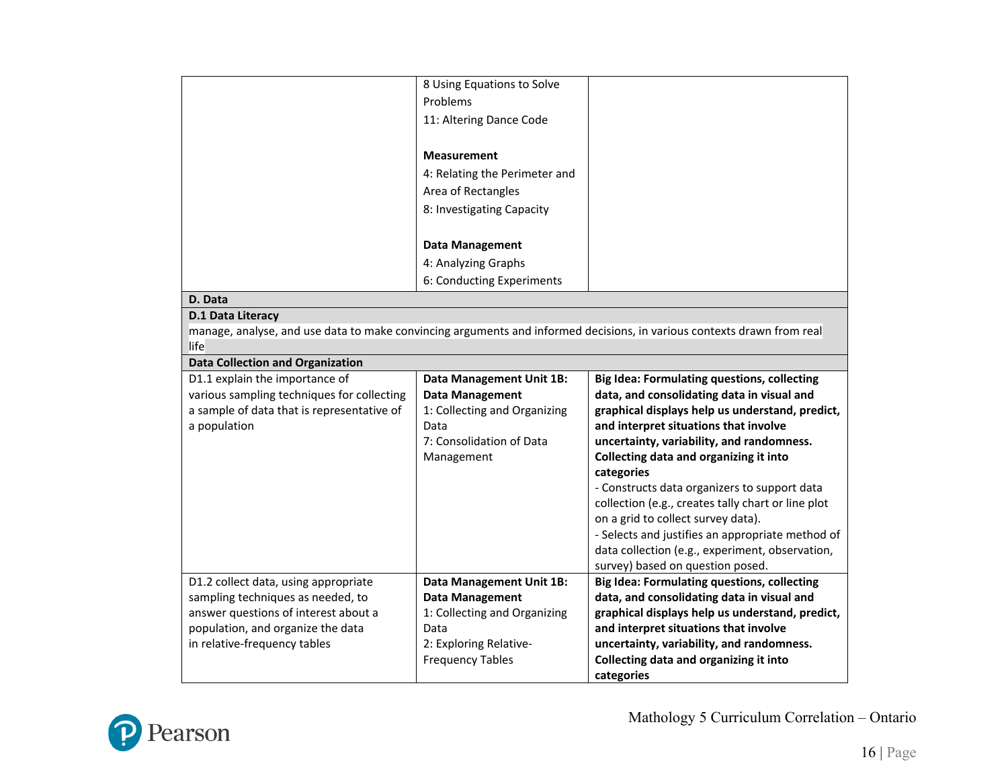|                                            | 8 Using Equations to Solve      |                                                                                                                        |
|--------------------------------------------|---------------------------------|------------------------------------------------------------------------------------------------------------------------|
|                                            | Problems                        |                                                                                                                        |
|                                            | 11: Altering Dance Code         |                                                                                                                        |
|                                            |                                 |                                                                                                                        |
|                                            | <b>Measurement</b>              |                                                                                                                        |
|                                            | 4: Relating the Perimeter and   |                                                                                                                        |
|                                            | Area of Rectangles              |                                                                                                                        |
|                                            | 8: Investigating Capacity       |                                                                                                                        |
|                                            |                                 |                                                                                                                        |
|                                            | <b>Data Management</b>          |                                                                                                                        |
|                                            | 4: Analyzing Graphs             |                                                                                                                        |
|                                            | 6: Conducting Experiments       |                                                                                                                        |
| D. Data                                    |                                 |                                                                                                                        |
| D.1 Data Literacy                          |                                 |                                                                                                                        |
|                                            |                                 | manage, analyse, and use data to make convincing arguments and informed decisions, in various contexts drawn from real |
| life                                       |                                 |                                                                                                                        |
| <b>Data Collection and Organization</b>    |                                 |                                                                                                                        |
| D1.1 explain the importance of             | <b>Data Management Unit 1B:</b> | <b>Big Idea: Formulating questions, collecting</b>                                                                     |
| various sampling techniques for collecting | <b>Data Management</b>          | data, and consolidating data in visual and                                                                             |
| a sample of data that is representative of | 1: Collecting and Organizing    | graphical displays help us understand, predict,                                                                        |
| a population                               | Data                            | and interpret situations that involve                                                                                  |
|                                            | 7: Consolidation of Data        | uncertainty, variability, and randomness.                                                                              |
|                                            | Management                      | Collecting data and organizing it into                                                                                 |
|                                            |                                 | categories                                                                                                             |
|                                            |                                 | - Constructs data organizers to support data                                                                           |
|                                            |                                 | collection (e.g., creates tally chart or line plot<br>on a grid to collect survey data).                               |
|                                            |                                 | - Selects and justifies an appropriate method of                                                                       |
|                                            |                                 | data collection (e.g., experiment, observation,                                                                        |
|                                            |                                 | survey) based on question posed.                                                                                       |
| D1.2 collect data, using appropriate       | <b>Data Management Unit 1B:</b> | <b>Big Idea: Formulating questions, collecting</b>                                                                     |
| sampling techniques as needed, to          | <b>Data Management</b>          | data, and consolidating data in visual and                                                                             |
| answer questions of interest about a       | 1: Collecting and Organizing    |                                                                                                                        |
|                                            |                                 | graphical displays help us understand, predict,                                                                        |
| population, and organize the data          | Data                            | and interpret situations that involve                                                                                  |
| in relative-frequency tables               | 2: Exploring Relative-          | uncertainty, variability, and randomness.                                                                              |
|                                            | <b>Frequency Tables</b>         | Collecting data and organizing it into                                                                                 |

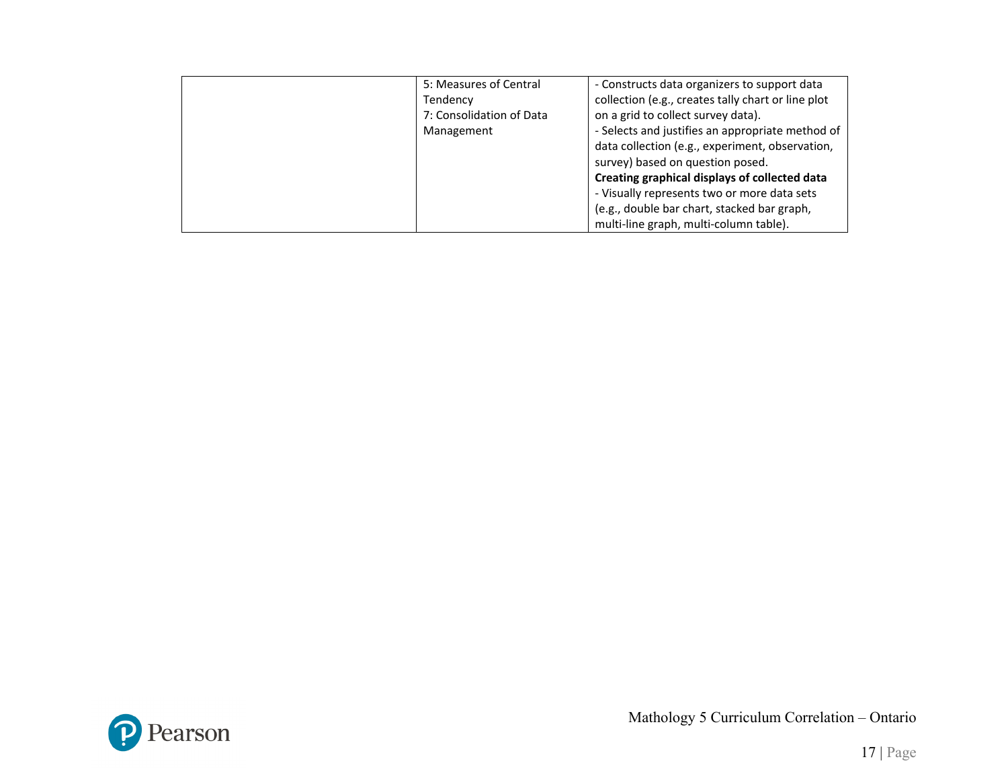| 5: Measures of Central   | - Constructs data organizers to support data       |
|--------------------------|----------------------------------------------------|
| Tendency                 | collection (e.g., creates tally chart or line plot |
| 7: Consolidation of Data | on a grid to collect survey data).                 |
| Management               | - Selects and justifies an appropriate method of   |
|                          | data collection (e.g., experiment, observation,    |
|                          | survey) based on question posed.                   |
|                          | Creating graphical displays of collected data      |
|                          | - Visually represents two or more data sets        |
|                          | (e.g., double bar chart, stacked bar graph,        |
|                          | multi-line graph, multi-column table).             |

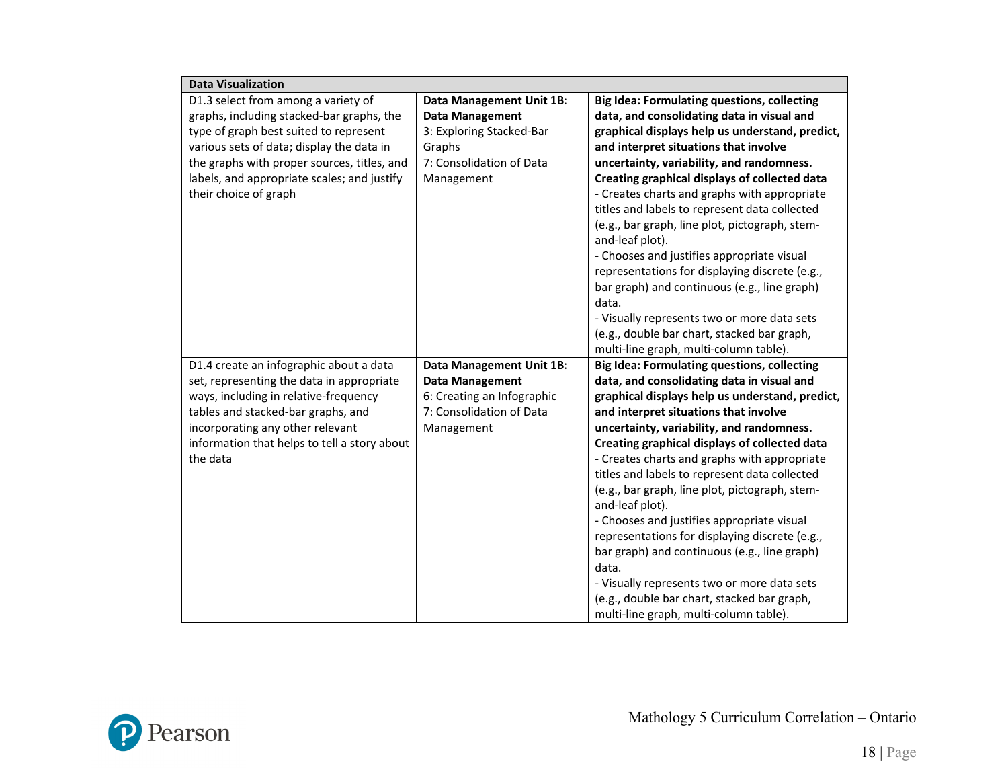| <b>Data Visualization</b>                    |                                 |                                                                   |
|----------------------------------------------|---------------------------------|-------------------------------------------------------------------|
| D1.3 select from among a variety of          | Data Management Unit 1B:        | <b>Big Idea: Formulating questions, collecting</b>                |
| graphs, including stacked-bar graphs, the    | <b>Data Management</b>          | data, and consolidating data in visual and                        |
| type of graph best suited to represent       | 3: Exploring Stacked-Bar        | graphical displays help us understand, predict,                   |
| various sets of data; display the data in    | Graphs                          | and interpret situations that involve                             |
| the graphs with proper sources, titles, and  | 7: Consolidation of Data        | uncertainty, variability, and randomness.                         |
| labels, and appropriate scales; and justify  | Management                      | Creating graphical displays of collected data                     |
| their choice of graph                        |                                 | - Creates charts and graphs with appropriate                      |
|                                              |                                 | titles and labels to represent data collected                     |
|                                              |                                 | (e.g., bar graph, line plot, pictograph, stem-<br>and-leaf plot). |
|                                              |                                 | - Chooses and justifies appropriate visual                        |
|                                              |                                 | representations for displaying discrete (e.g.,                    |
|                                              |                                 | bar graph) and continuous (e.g., line graph)                      |
|                                              |                                 | data.                                                             |
|                                              |                                 | - Visually represents two or more data sets                       |
|                                              |                                 | (e.g., double bar chart, stacked bar graph,                       |
|                                              |                                 | multi-line graph, multi-column table).                            |
| D1.4 create an infographic about a data      | <b>Data Management Unit 1B:</b> | <b>Big Idea: Formulating questions, collecting</b>                |
| set, representing the data in appropriate    | <b>Data Management</b>          | data, and consolidating data in visual and                        |
| ways, including in relative-frequency        | 6: Creating an Infographic      | graphical displays help us understand, predict,                   |
| tables and stacked-bar graphs, and           | 7: Consolidation of Data        | and interpret situations that involve                             |
| incorporating any other relevant             | Management                      | uncertainty, variability, and randomness.                         |
| information that helps to tell a story about |                                 | Creating graphical displays of collected data                     |
| the data                                     |                                 | - Creates charts and graphs with appropriate                      |
|                                              |                                 | titles and labels to represent data collected                     |
|                                              |                                 | (e.g., bar graph, line plot, pictograph, stem-                    |
|                                              |                                 | and-leaf plot).                                                   |
|                                              |                                 | - Chooses and justifies appropriate visual                        |
|                                              |                                 | representations for displaying discrete (e.g.,                    |
|                                              |                                 | bar graph) and continuous (e.g., line graph)                      |
|                                              |                                 | data.                                                             |
|                                              |                                 | - Visually represents two or more data sets                       |
|                                              |                                 | (e.g., double bar chart, stacked bar graph,                       |
|                                              |                                 | multi-line graph, multi-column table).                            |

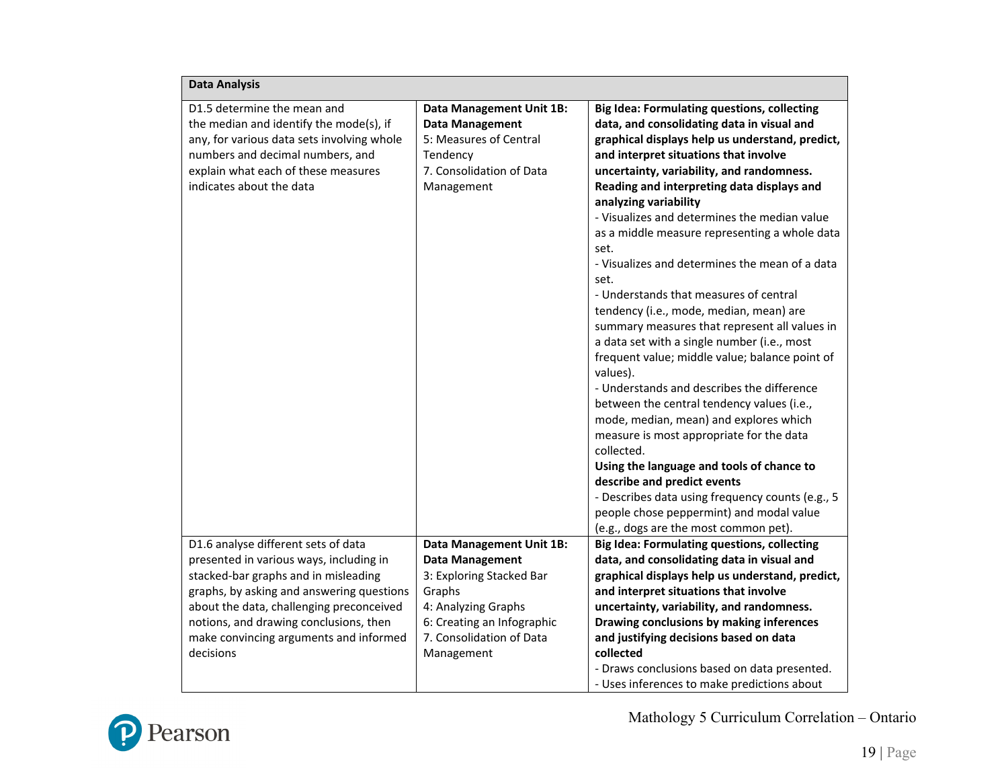| <b>Data Analysis</b>                                                                                                                                                                                                                                                                                             |                                                                                                                                                                                                |                                                                                                                                                                                                                                                                                                                                                                                                                                                                                                                                                                                                                                                                                                                                                                                                                                                                                                                                                                                                                                                                                                                                                             |
|------------------------------------------------------------------------------------------------------------------------------------------------------------------------------------------------------------------------------------------------------------------------------------------------------------------|------------------------------------------------------------------------------------------------------------------------------------------------------------------------------------------------|-------------------------------------------------------------------------------------------------------------------------------------------------------------------------------------------------------------------------------------------------------------------------------------------------------------------------------------------------------------------------------------------------------------------------------------------------------------------------------------------------------------------------------------------------------------------------------------------------------------------------------------------------------------------------------------------------------------------------------------------------------------------------------------------------------------------------------------------------------------------------------------------------------------------------------------------------------------------------------------------------------------------------------------------------------------------------------------------------------------------------------------------------------------|
| D1.5 determine the mean and<br>the median and identify the mode(s), if<br>any, for various data sets involving whole<br>numbers and decimal numbers, and<br>explain what each of these measures<br>indicates about the data                                                                                      | Data Management Unit 1B:<br><b>Data Management</b><br>5: Measures of Central<br>Tendency<br>7. Consolidation of Data<br>Management                                                             | <b>Big Idea: Formulating questions, collecting</b><br>data, and consolidating data in visual and<br>graphical displays help us understand, predict,<br>and interpret situations that involve<br>uncertainty, variability, and randomness.<br>Reading and interpreting data displays and<br>analyzing variability<br>- Visualizes and determines the median value<br>as a middle measure representing a whole data<br>set.<br>- Visualizes and determines the mean of a data<br>set.<br>- Understands that measures of central<br>tendency (i.e., mode, median, mean) are<br>summary measures that represent all values in<br>a data set with a single number (i.e., most<br>frequent value; middle value; balance point of<br>values).<br>- Understands and describes the difference<br>between the central tendency values (i.e.,<br>mode, median, mean) and explores which<br>measure is most appropriate for the data<br>collected.<br>Using the language and tools of chance to<br>describe and predict events<br>- Describes data using frequency counts (e.g., 5<br>people chose peppermint) and modal value<br>(e.g., dogs are the most common pet). |
| D1.6 analyse different sets of data<br>presented in various ways, including in<br>stacked-bar graphs and in misleading<br>graphs, by asking and answering questions<br>about the data, challenging preconceived<br>notions, and drawing conclusions, then<br>make convincing arguments and informed<br>decisions | <b>Data Management Unit 1B:</b><br><b>Data Management</b><br>3: Exploring Stacked Bar<br>Graphs<br>4: Analyzing Graphs<br>6: Creating an Infographic<br>7. Consolidation of Data<br>Management | <b>Big Idea: Formulating questions, collecting</b><br>data, and consolidating data in visual and<br>graphical displays help us understand, predict,<br>and interpret situations that involve<br>uncertainty, variability, and randomness.<br>Drawing conclusions by making inferences<br>and justifying decisions based on data<br>collected<br>- Draws conclusions based on data presented.<br>- Uses inferences to make predictions about                                                                                                                                                                                                                                                                                                                                                                                                                                                                                                                                                                                                                                                                                                                 |

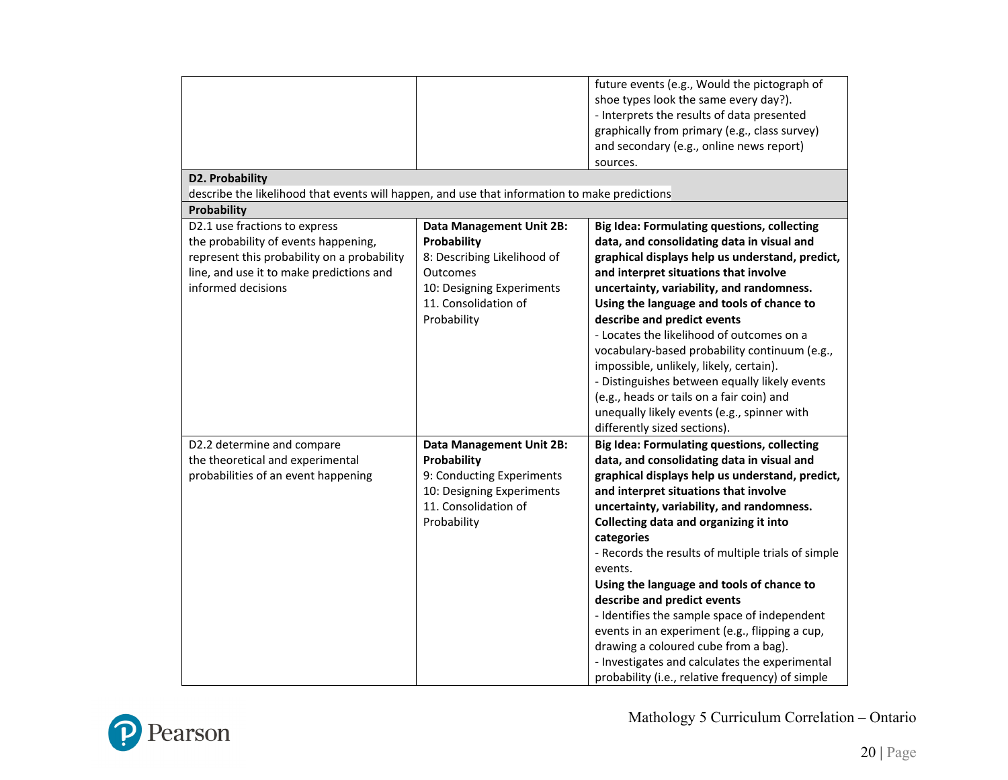| <b>D2. Probability</b><br>describe the likelihood that events will happen, and use that information to make predictions                                                                |                                                                                                                                                               | future events (e.g., Would the pictograph of<br>shoe types look the same every day?).<br>- Interprets the results of data presented<br>graphically from primary (e.g., class survey)<br>and secondary (e.g., online news report)<br>sources.                                                                                                                                                                                                                                                                                                                                                                                                                                                   |
|----------------------------------------------------------------------------------------------------------------------------------------------------------------------------------------|---------------------------------------------------------------------------------------------------------------------------------------------------------------|------------------------------------------------------------------------------------------------------------------------------------------------------------------------------------------------------------------------------------------------------------------------------------------------------------------------------------------------------------------------------------------------------------------------------------------------------------------------------------------------------------------------------------------------------------------------------------------------------------------------------------------------------------------------------------------------|
| Probability                                                                                                                                                                            |                                                                                                                                                               |                                                                                                                                                                                                                                                                                                                                                                                                                                                                                                                                                                                                                                                                                                |
| D2.1 use fractions to express<br>the probability of events happening,<br>represent this probability on a probability<br>line, and use it to make predictions and<br>informed decisions | <b>Data Management Unit 2B:</b><br>Probability<br>8: Describing Likelihood of<br>Outcomes<br>10: Designing Experiments<br>11. Consolidation of<br>Probability | <b>Big Idea: Formulating questions, collecting</b><br>data, and consolidating data in visual and<br>graphical displays help us understand, predict,<br>and interpret situations that involve<br>uncertainty, variability, and randomness.<br>Using the language and tools of chance to<br>describe and predict events<br>- Locates the likelihood of outcomes on a<br>vocabulary-based probability continuum (e.g.,<br>impossible, unlikely, likely, certain).<br>- Distinguishes between equally likely events<br>(e.g., heads or tails on a fair coin) and<br>unequally likely events (e.g., spinner with<br>differently sized sections).                                                    |
| D2.2 determine and compare<br>the theoretical and experimental<br>probabilities of an event happening                                                                                  | <b>Data Management Unit 2B:</b><br>Probability<br>9: Conducting Experiments<br>10: Designing Experiments<br>11. Consolidation of<br>Probability               | <b>Big Idea: Formulating questions, collecting</b><br>data, and consolidating data in visual and<br>graphical displays help us understand, predict,<br>and interpret situations that involve<br>uncertainty, variability, and randomness.<br>Collecting data and organizing it into<br>categories<br>- Records the results of multiple trials of simple<br>events.<br>Using the language and tools of chance to<br>describe and predict events<br>- Identifies the sample space of independent<br>events in an experiment (e.g., flipping a cup,<br>drawing a coloured cube from a bag).<br>- Investigates and calculates the experimental<br>probability (i.e., relative frequency) of simple |

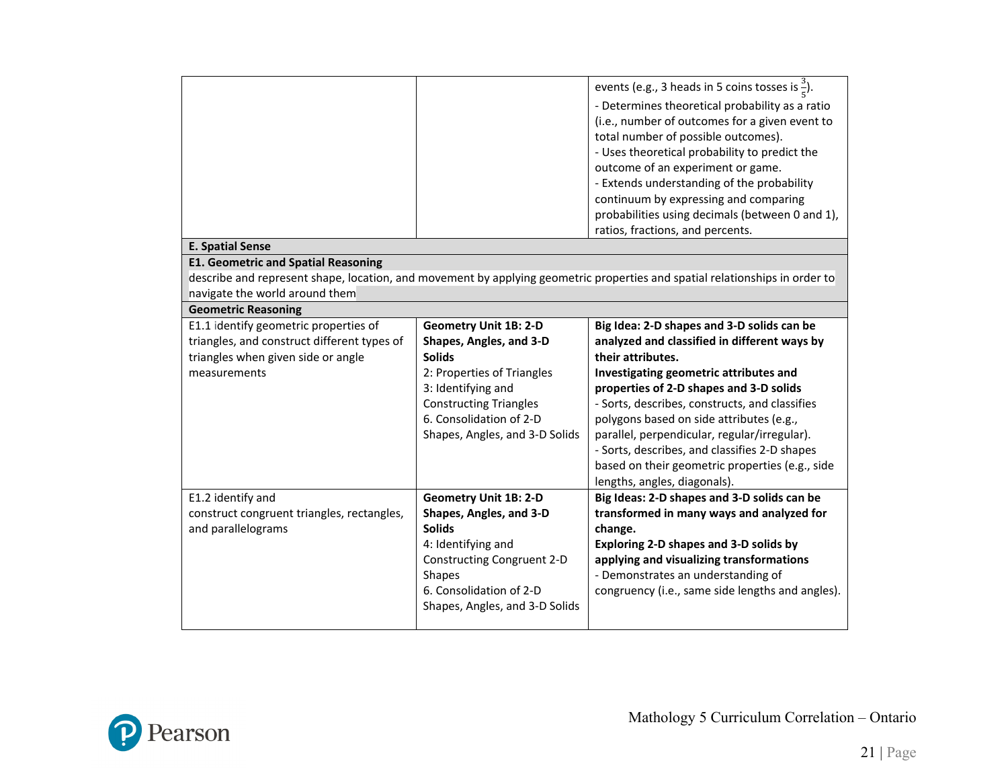|                                             |                                | events (e.g., 3 heads in 5 coins tosses is $\frac{3}{5}$ ).<br>- Determines theoretical probability as a ratio<br>(i.e., number of outcomes for a given event to<br>total number of possible outcomes).<br>- Uses theoretical probability to predict the<br>outcome of an experiment or game.<br>- Extends understanding of the probability<br>continuum by expressing and comparing<br>probabilities using decimals (between 0 and 1),<br>ratios, fractions, and percents. |
|---------------------------------------------|--------------------------------|-----------------------------------------------------------------------------------------------------------------------------------------------------------------------------------------------------------------------------------------------------------------------------------------------------------------------------------------------------------------------------------------------------------------------------------------------------------------------------|
| <b>E. Spatial Sense</b>                     |                                |                                                                                                                                                                                                                                                                                                                                                                                                                                                                             |
| <b>E1. Geometric and Spatial Reasoning</b>  |                                |                                                                                                                                                                                                                                                                                                                                                                                                                                                                             |
|                                             |                                | describe and represent shape, location, and movement by applying geometric properties and spatial relationships in order to                                                                                                                                                                                                                                                                                                                                                 |
| navigate the world around them              |                                |                                                                                                                                                                                                                                                                                                                                                                                                                                                                             |
| <b>Geometric Reasoning</b>                  |                                |                                                                                                                                                                                                                                                                                                                                                                                                                                                                             |
| E1.1 identify geometric properties of       | <b>Geometry Unit 1B: 2-D</b>   | Big Idea: 2-D shapes and 3-D solids can be                                                                                                                                                                                                                                                                                                                                                                                                                                  |
| triangles, and construct different types of | Shapes, Angles, and 3-D        | analyzed and classified in different ways by                                                                                                                                                                                                                                                                                                                                                                                                                                |
| triangles when given side or angle          | <b>Solids</b>                  | their attributes.                                                                                                                                                                                                                                                                                                                                                                                                                                                           |
| measurements                                | 2: Properties of Triangles     | Investigating geometric attributes and                                                                                                                                                                                                                                                                                                                                                                                                                                      |
|                                             | 3: Identifying and             | properties of 2-D shapes and 3-D solids                                                                                                                                                                                                                                                                                                                                                                                                                                     |
|                                             | <b>Constructing Triangles</b>  | - Sorts, describes, constructs, and classifies                                                                                                                                                                                                                                                                                                                                                                                                                              |
|                                             | 6. Consolidation of 2-D        | polygons based on side attributes (e.g.,                                                                                                                                                                                                                                                                                                                                                                                                                                    |
|                                             | Shapes, Angles, and 3-D Solids | parallel, perpendicular, regular/irregular).                                                                                                                                                                                                                                                                                                                                                                                                                                |
|                                             |                                | - Sorts, describes, and classifies 2-D shapes                                                                                                                                                                                                                                                                                                                                                                                                                               |
|                                             |                                | based on their geometric properties (e.g., side                                                                                                                                                                                                                                                                                                                                                                                                                             |
|                                             |                                | lengths, angles, diagonals).                                                                                                                                                                                                                                                                                                                                                                                                                                                |
| E1.2 identify and                           | <b>Geometry Unit 1B: 2-D</b>   | Big Ideas: 2-D shapes and 3-D solids can be                                                                                                                                                                                                                                                                                                                                                                                                                                 |
| construct congruent triangles, rectangles,  | Shapes, Angles, and 3-D        | transformed in many ways and analyzed for                                                                                                                                                                                                                                                                                                                                                                                                                                   |
| and parallelograms                          | <b>Solids</b>                  | change.                                                                                                                                                                                                                                                                                                                                                                                                                                                                     |
|                                             | 4: Identifying and             | Exploring 2-D shapes and 3-D solids by                                                                                                                                                                                                                                                                                                                                                                                                                                      |
|                                             | Constructing Congruent 2-D     | applying and visualizing transformations                                                                                                                                                                                                                                                                                                                                                                                                                                    |
|                                             | <b>Shapes</b>                  | - Demonstrates an understanding of                                                                                                                                                                                                                                                                                                                                                                                                                                          |
|                                             | 6. Consolidation of 2-D        | congruency (i.e., same side lengths and angles).                                                                                                                                                                                                                                                                                                                                                                                                                            |
|                                             | Shapes, Angles, and 3-D Solids |                                                                                                                                                                                                                                                                                                                                                                                                                                                                             |
|                                             |                                |                                                                                                                                                                                                                                                                                                                                                                                                                                                                             |

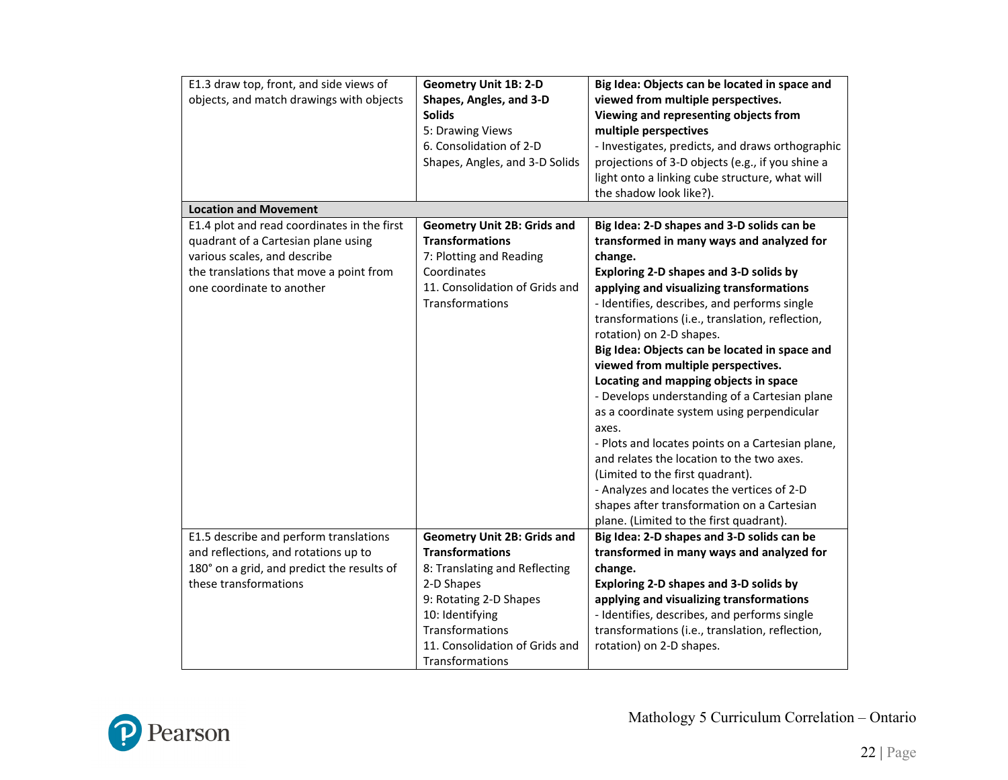| E1.3 draw top, front, and side views of                                            | <b>Geometry Unit 1B: 2-D</b>       | Big Idea: Objects can be located in space and                                           |
|------------------------------------------------------------------------------------|------------------------------------|-----------------------------------------------------------------------------------------|
| objects, and match drawings with objects                                           | Shapes, Angles, and 3-D            | viewed from multiple perspectives.                                                      |
|                                                                                    | <b>Solids</b>                      | Viewing and representing objects from                                                   |
|                                                                                    | 5: Drawing Views                   | multiple perspectives                                                                   |
|                                                                                    | 6. Consolidation of 2-D            | - Investigates, predicts, and draws orthographic                                        |
|                                                                                    | Shapes, Angles, and 3-D Solids     | projections of 3-D objects (e.g., if you shine a                                        |
|                                                                                    |                                    | light onto a linking cube structure, what will                                          |
|                                                                                    |                                    | the shadow look like?).                                                                 |
| <b>Location and Movement</b>                                                       |                                    |                                                                                         |
| E1.4 plot and read coordinates in the first                                        | <b>Geometry Unit 2B: Grids and</b> | Big Idea: 2-D shapes and 3-D solids can be                                              |
| quadrant of a Cartesian plane using                                                | <b>Transformations</b>             | transformed in many ways and analyzed for                                               |
| various scales, and describe                                                       | 7: Plotting and Reading            | change.                                                                                 |
| the translations that move a point from                                            | Coordinates                        | Exploring 2-D shapes and 3-D solids by                                                  |
| one coordinate to another                                                          | 11. Consolidation of Grids and     | applying and visualizing transformations                                                |
|                                                                                    | Transformations                    | - Identifies, describes, and performs single                                            |
|                                                                                    |                                    | transformations (i.e., translation, reflection,                                         |
|                                                                                    |                                    | rotation) on 2-D shapes.                                                                |
|                                                                                    |                                    | Big Idea: Objects can be located in space and                                           |
|                                                                                    |                                    | viewed from multiple perspectives.                                                      |
|                                                                                    |                                    | Locating and mapping objects in space                                                   |
|                                                                                    |                                    | - Develops understanding of a Cartesian plane                                           |
|                                                                                    |                                    | as a coordinate system using perpendicular                                              |
|                                                                                    |                                    | axes.                                                                                   |
|                                                                                    |                                    | - Plots and locates points on a Cartesian plane,                                        |
|                                                                                    |                                    | and relates the location to the two axes.                                               |
|                                                                                    |                                    | (Limited to the first quadrant).                                                        |
|                                                                                    |                                    | - Analyzes and locates the vertices of 2-D                                              |
|                                                                                    |                                    | shapes after transformation on a Cartesian                                              |
|                                                                                    | <b>Geometry Unit 2B: Grids and</b> | plane. (Limited to the first quadrant).                                                 |
| E1.5 describe and perform translations                                             | <b>Transformations</b>             | Big Idea: 2-D shapes and 3-D solids can be<br>transformed in many ways and analyzed for |
| and reflections, and rotations up to<br>180° on a grid, and predict the results of | 8: Translating and Reflecting      | change.                                                                                 |
| these transformations                                                              | 2-D Shapes                         | Exploring 2-D shapes and 3-D solids by                                                  |
|                                                                                    | 9: Rotating 2-D Shapes             | applying and visualizing transformations                                                |
|                                                                                    | 10: Identifying                    | - Identifies, describes, and performs single                                            |
|                                                                                    | Transformations                    | transformations (i.e., translation, reflection,                                         |
|                                                                                    | 11. Consolidation of Grids and     | rotation) on 2-D shapes.                                                                |
|                                                                                    | Transformations                    |                                                                                         |
|                                                                                    |                                    |                                                                                         |

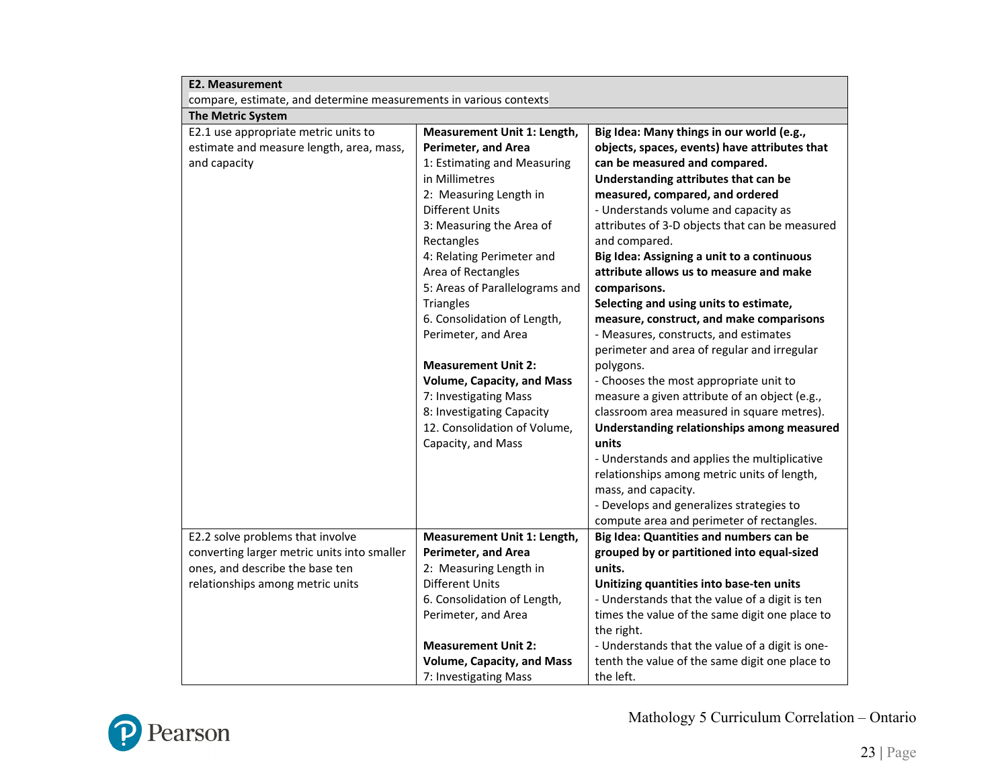| <b>E2. Measurement</b>                                            |                                   |                                                 |
|-------------------------------------------------------------------|-----------------------------------|-------------------------------------------------|
| compare, estimate, and determine measurements in various contexts |                                   |                                                 |
| <b>The Metric System</b>                                          |                                   |                                                 |
| E2.1 use appropriate metric units to                              | Measurement Unit 1: Length,       | Big Idea: Many things in our world (e.g.,       |
| estimate and measure length, area, mass,                          | <b>Perimeter, and Area</b>        | objects, spaces, events) have attributes that   |
| and capacity                                                      | 1: Estimating and Measuring       | can be measured and compared.                   |
|                                                                   | in Millimetres                    | Understanding attributes that can be            |
|                                                                   | 2: Measuring Length in            | measured, compared, and ordered                 |
|                                                                   | <b>Different Units</b>            | - Understands volume and capacity as            |
|                                                                   | 3: Measuring the Area of          | attributes of 3-D objects that can be measured  |
|                                                                   | Rectangles                        | and compared.                                   |
|                                                                   | 4: Relating Perimeter and         | Big Idea: Assigning a unit to a continuous      |
|                                                                   | Area of Rectangles                | attribute allows us to measure and make         |
|                                                                   | 5: Areas of Parallelograms and    | comparisons.                                    |
|                                                                   | <b>Triangles</b>                  | Selecting and using units to estimate,          |
|                                                                   | 6. Consolidation of Length,       | measure, construct, and make comparisons        |
|                                                                   | Perimeter, and Area               | - Measures, constructs, and estimates           |
|                                                                   |                                   | perimeter and area of regular and irregular     |
|                                                                   | <b>Measurement Unit 2:</b>        | polygons.                                       |
|                                                                   | <b>Volume, Capacity, and Mass</b> | - Chooses the most appropriate unit to          |
|                                                                   | 7: Investigating Mass             | measure a given attribute of an object (e.g.,   |
|                                                                   | 8: Investigating Capacity         | classroom area measured in square metres).      |
|                                                                   | 12. Consolidation of Volume,      | Understanding relationships among measured      |
|                                                                   | Capacity, and Mass                | units                                           |
|                                                                   |                                   | - Understands and applies the multiplicative    |
|                                                                   |                                   | relationships among metric units of length,     |
|                                                                   |                                   | mass, and capacity.                             |
|                                                                   |                                   | - Develops and generalizes strategies to        |
|                                                                   |                                   | compute area and perimeter of rectangles.       |
| E2.2 solve problems that involve                                  | Measurement Unit 1: Length,       | Big Idea: Quantities and numbers can be         |
| converting larger metric units into smaller                       | <b>Perimeter, and Area</b>        | grouped by or partitioned into equal-sized      |
| ones, and describe the base ten                                   | 2: Measuring Length in            | units.                                          |
| relationships among metric units                                  | <b>Different Units</b>            | Unitizing quantities into base-ten units        |
|                                                                   | 6. Consolidation of Length,       | - Understands that the value of a digit is ten  |
|                                                                   | Perimeter, and Area               | times the value of the same digit one place to  |
|                                                                   |                                   | the right.                                      |
|                                                                   | <b>Measurement Unit 2:</b>        | - Understands that the value of a digit is one- |
|                                                                   | <b>Volume, Capacity, and Mass</b> | tenth the value of the same digit one place to  |
|                                                                   | 7: Investigating Mass             | the left.                                       |

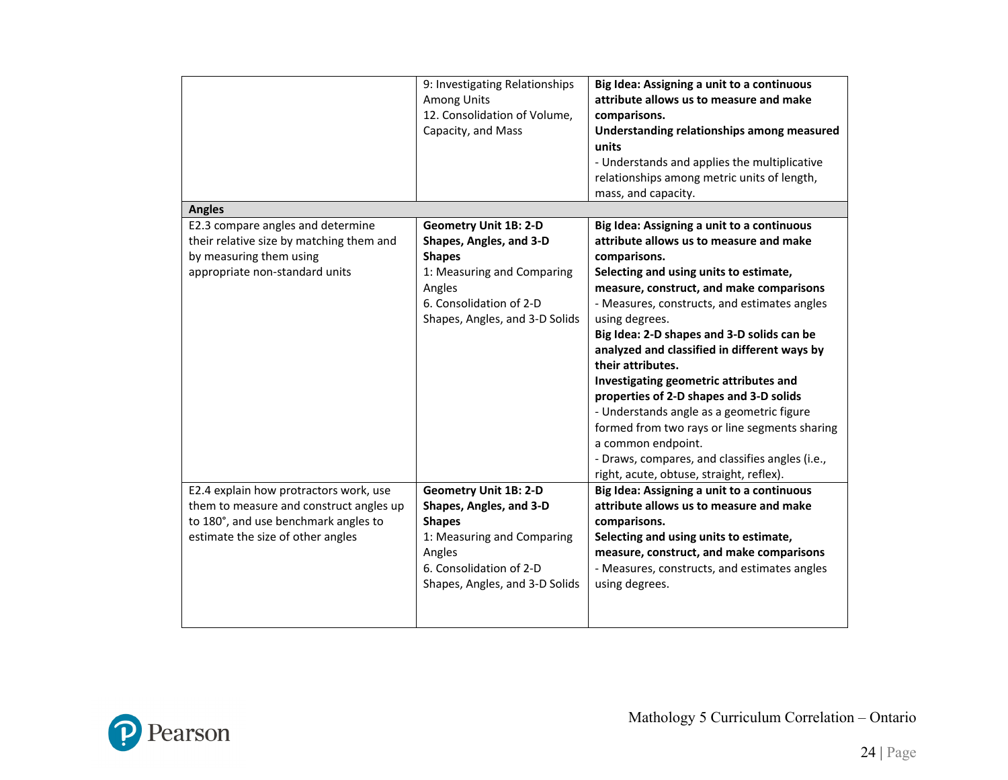| <b>Angles</b>                                                                                                                                                  | 9: Investigating Relationships<br><b>Among Units</b><br>12. Consolidation of Volume,<br>Capacity, and Mass                                                                    | Big Idea: Assigning a unit to a continuous<br>attribute allows us to measure and make<br>comparisons.<br>Understanding relationships among measured<br>units<br>- Understands and applies the multiplicative<br>relationships among metric units of length,<br>mass, and capacity.                                                                                                                                                                                                                                                                                                                                                                                                       |
|----------------------------------------------------------------------------------------------------------------------------------------------------------------|-------------------------------------------------------------------------------------------------------------------------------------------------------------------------------|------------------------------------------------------------------------------------------------------------------------------------------------------------------------------------------------------------------------------------------------------------------------------------------------------------------------------------------------------------------------------------------------------------------------------------------------------------------------------------------------------------------------------------------------------------------------------------------------------------------------------------------------------------------------------------------|
| E2.3 compare angles and determine<br>their relative size by matching them and<br>by measuring them using<br>appropriate non-standard units                     | <b>Geometry Unit 1B: 2-D</b><br>Shapes, Angles, and 3-D<br><b>Shapes</b><br>1: Measuring and Comparing<br>Angles<br>6. Consolidation of 2-D<br>Shapes, Angles, and 3-D Solids | Big Idea: Assigning a unit to a continuous<br>attribute allows us to measure and make<br>comparisons.<br>Selecting and using units to estimate,<br>measure, construct, and make comparisons<br>- Measures, constructs, and estimates angles<br>using degrees.<br>Big Idea: 2-D shapes and 3-D solids can be<br>analyzed and classified in different ways by<br>their attributes.<br>Investigating geometric attributes and<br>properties of 2-D shapes and 3-D solids<br>- Understands angle as a geometric figure<br>formed from two rays or line segments sharing<br>a common endpoint.<br>- Draws, compares, and classifies angles (i.e.,<br>right, acute, obtuse, straight, reflex). |
| E2.4 explain how protractors work, use<br>them to measure and construct angles up<br>to 180°, and use benchmark angles to<br>estimate the size of other angles | <b>Geometry Unit 1B: 2-D</b><br>Shapes, Angles, and 3-D<br><b>Shapes</b><br>1: Measuring and Comparing<br>Angles<br>6. Consolidation of 2-D<br>Shapes, Angles, and 3-D Solids | Big Idea: Assigning a unit to a continuous<br>attribute allows us to measure and make<br>comparisons.<br>Selecting and using units to estimate,<br>measure, construct, and make comparisons<br>- Measures, constructs, and estimates angles<br>using degrees.                                                                                                                                                                                                                                                                                                                                                                                                                            |

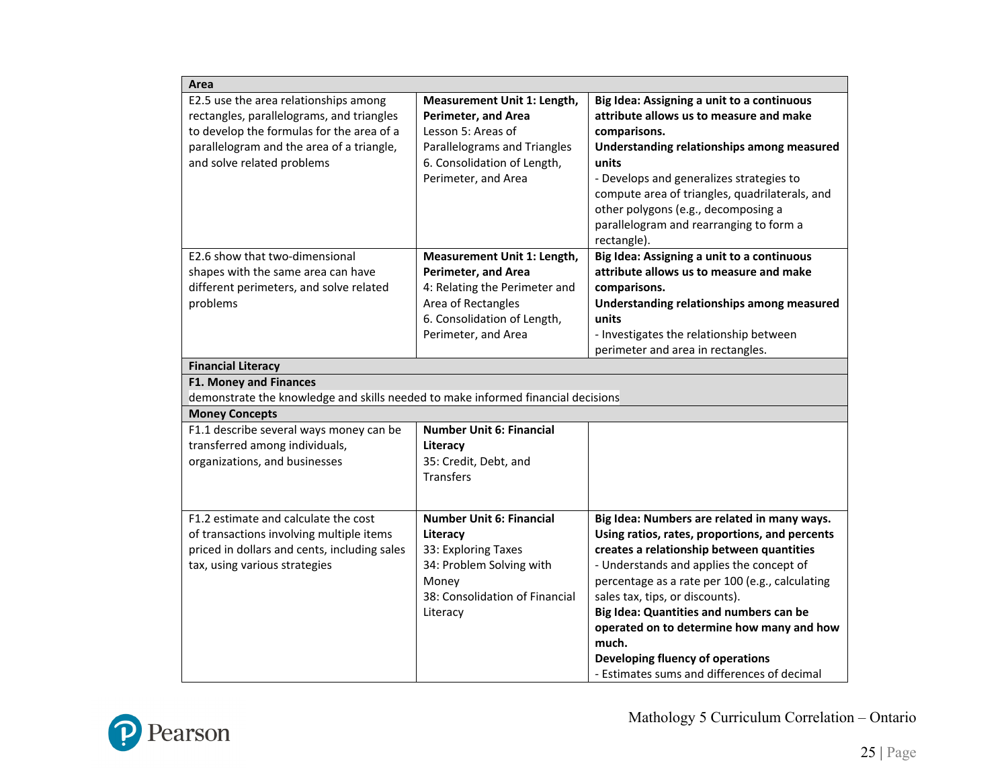| Area                                                                                                                                                                                                       |                                                                                                                                                                       |                                                                                                                                                                                                                                                                                                                                                                                                                                                                  |  |  |
|------------------------------------------------------------------------------------------------------------------------------------------------------------------------------------------------------------|-----------------------------------------------------------------------------------------------------------------------------------------------------------------------|------------------------------------------------------------------------------------------------------------------------------------------------------------------------------------------------------------------------------------------------------------------------------------------------------------------------------------------------------------------------------------------------------------------------------------------------------------------|--|--|
| E2.5 use the area relationships among<br>rectangles, parallelograms, and triangles<br>to develop the formulas for the area of a<br>parallelogram and the area of a triangle,<br>and solve related problems | Measurement Unit 1: Length,<br><b>Perimeter, and Area</b><br>Lesson 5: Areas of<br>Parallelograms and Triangles<br>6. Consolidation of Length,<br>Perimeter, and Area | Big Idea: Assigning a unit to a continuous<br>attribute allows us to measure and make<br>comparisons.<br>Understanding relationships among measured<br>units<br>- Develops and generalizes strategies to<br>compute area of triangles, quadrilaterals, and<br>other polygons (e.g., decomposing a<br>parallelogram and rearranging to form a<br>rectangle).                                                                                                      |  |  |
| E2.6 show that two-dimensional<br>shapes with the same area can have<br>different perimeters, and solve related<br>problems                                                                                | Measurement Unit 1: Length,<br>Perimeter, and Area<br>4: Relating the Perimeter and<br>Area of Rectangles<br>6. Consolidation of Length,<br>Perimeter, and Area       | Big Idea: Assigning a unit to a continuous<br>attribute allows us to measure and make<br>comparisons.<br>Understanding relationships among measured<br>units<br>- Investigates the relationship between<br>perimeter and area in rectangles.                                                                                                                                                                                                                     |  |  |
| <b>Financial Literacy</b><br><b>F1. Money and Finances</b><br>demonstrate the knowledge and skills needed to make informed financial decisions                                                             |                                                                                                                                                                       |                                                                                                                                                                                                                                                                                                                                                                                                                                                                  |  |  |
| <b>Money Concepts</b>                                                                                                                                                                                      |                                                                                                                                                                       |                                                                                                                                                                                                                                                                                                                                                                                                                                                                  |  |  |
| F1.1 describe several ways money can be<br>transferred among individuals,<br>organizations, and businesses                                                                                                 | <b>Number Unit 6: Financial</b><br>Literacy<br>35: Credit, Debt, and<br><b>Transfers</b>                                                                              |                                                                                                                                                                                                                                                                                                                                                                                                                                                                  |  |  |
| F1.2 estimate and calculate the cost<br>of transactions involving multiple items<br>priced in dollars and cents, including sales<br>tax, using various strategies                                          | <b>Number Unit 6: Financial</b><br>Literacy<br>33: Exploring Taxes<br>34: Problem Solving with<br>Money<br>38: Consolidation of Financial<br>Literacy                 | Big Idea: Numbers are related in many ways.<br>Using ratios, rates, proportions, and percents<br>creates a relationship between quantities<br>- Understands and applies the concept of<br>percentage as a rate per 100 (e.g., calculating<br>sales tax, tips, or discounts).<br>Big Idea: Quantities and numbers can be<br>operated on to determine how many and how<br>much.<br>Developing fluency of operations<br>- Estimates sums and differences of decimal |  |  |

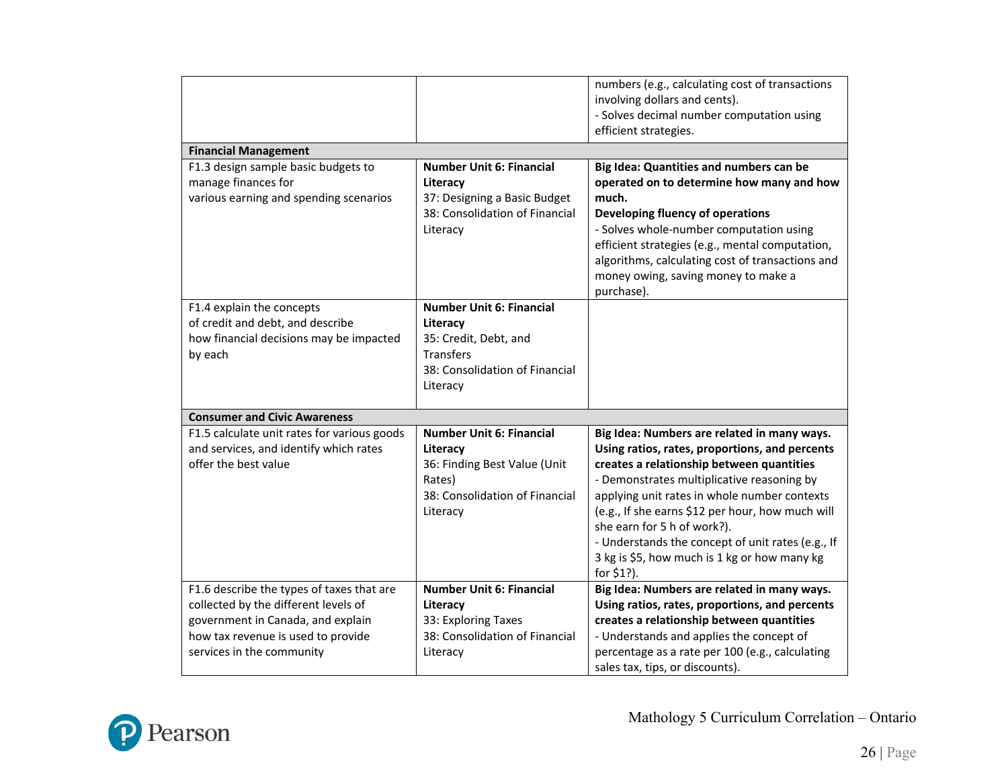|                                                                                                                                                                                           |                                                                                                                                     | numbers (e.g., calculating cost of transactions<br>involving dollars and cents).<br>- Solves decimal number computation using<br>efficient strategies.                                                                                                                                                                                                                                                                                         |
|-------------------------------------------------------------------------------------------------------------------------------------------------------------------------------------------|-------------------------------------------------------------------------------------------------------------------------------------|------------------------------------------------------------------------------------------------------------------------------------------------------------------------------------------------------------------------------------------------------------------------------------------------------------------------------------------------------------------------------------------------------------------------------------------------|
| <b>Financial Management</b>                                                                                                                                                               |                                                                                                                                     |                                                                                                                                                                                                                                                                                                                                                                                                                                                |
| F1.3 design sample basic budgets to<br>manage finances for<br>various earning and spending scenarios                                                                                      | <b>Number Unit 6: Financial</b><br>Literacy<br>37: Designing a Basic Budget<br>38: Consolidation of Financial<br>Literacy           | Big Idea: Quantities and numbers can be<br>operated on to determine how many and how<br>much.<br>Developing fluency of operations<br>- Solves whole-number computation using<br>efficient strategies (e.g., mental computation,<br>algorithms, calculating cost of transactions and<br>money owing, saving money to make a<br>purchase).                                                                                                       |
| F1.4 explain the concepts<br>of credit and debt, and describe<br>how financial decisions may be impacted<br>by each                                                                       | <b>Number Unit 6: Financial</b><br>Literacy<br>35: Credit, Debt, and<br>Transfers<br>38: Consolidation of Financial<br>Literacy     |                                                                                                                                                                                                                                                                                                                                                                                                                                                |
| <b>Consumer and Civic Awareness</b>                                                                                                                                                       |                                                                                                                                     |                                                                                                                                                                                                                                                                                                                                                                                                                                                |
| F1.5 calculate unit rates for various goods<br>and services, and identify which rates<br>offer the best value                                                                             | <b>Number Unit 6: Financial</b><br>Literacy<br>36: Finding Best Value (Unit<br>Rates)<br>38: Consolidation of Financial<br>Literacy | Big Idea: Numbers are related in many ways.<br>Using ratios, rates, proportions, and percents<br>creates a relationship between quantities<br>- Demonstrates multiplicative reasoning by<br>applying unit rates in whole number contexts<br>(e.g., If she earns \$12 per hour, how much will<br>she earn for 5 h of work?).<br>- Understands the concept of unit rates (e.g., If<br>3 kg is \$5, how much is 1 kg or how many kg<br>for \$1?). |
| F1.6 describe the types of taxes that are<br>collected by the different levels of<br>government in Canada, and explain<br>how tax revenue is used to provide<br>services in the community | <b>Number Unit 6: Financial</b><br>Literacy<br>33: Exploring Taxes<br>38: Consolidation of Financial<br>Literacy                    | Big Idea: Numbers are related in many ways.<br>Using ratios, rates, proportions, and percents<br>creates a relationship between quantities<br>- Understands and applies the concept of<br>percentage as a rate per 100 (e.g., calculating<br>sales tax, tips, or discounts).                                                                                                                                                                   |